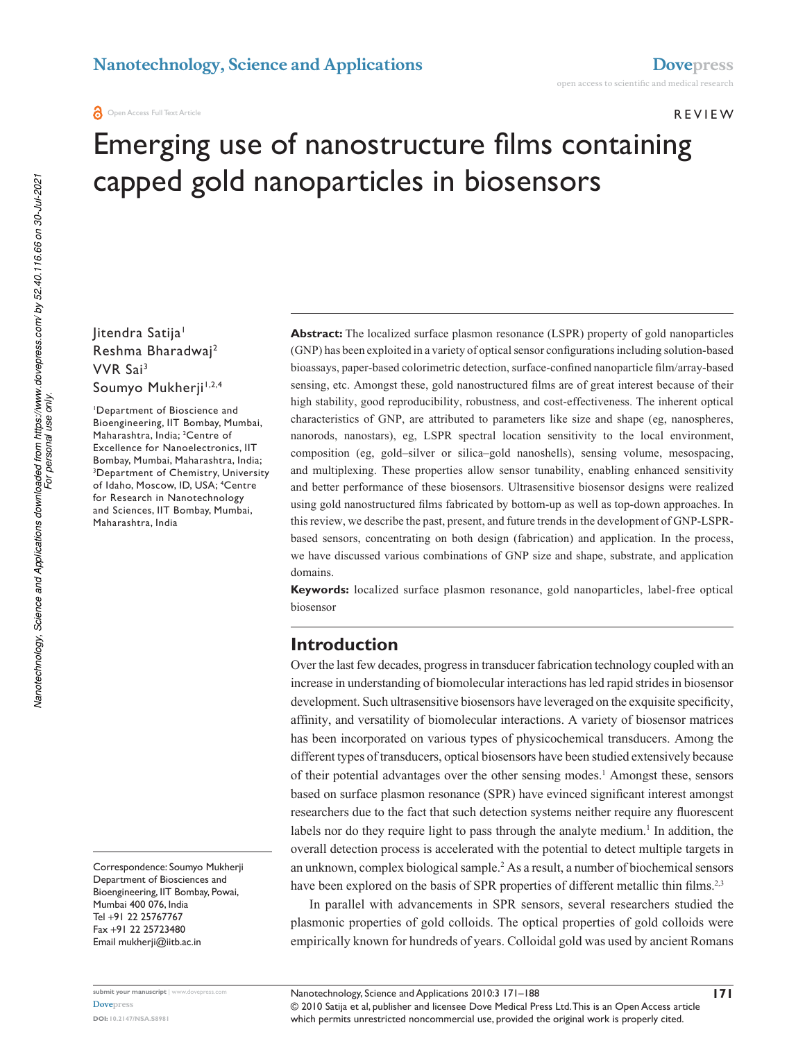**O** Open Access Full Text Article

#### Review

# Emerging use of nanostructure films containing capped gold nanoparticles in biosensors

## Jitendra Satija<sup>1</sup> Reshma Bharadwaj<sup>2</sup> vvR Sai<sup>3</sup> Soumyo Mukherji<sup>1,2,4</sup>

<sup>1</sup>Department of Bioscience and Bioengineering, IIT Bombay, Mumbai, Maharashtra, India; <sup>2</sup>Centre of Excellence for Nanoelectronics, IIT Bombay, Mumbai, Maharashtra, india; <sup>3</sup>Department of Chemistry, University of Idaho, Moscow, ID, USA; <sup>4</sup>Centre for Research in Nanotechnology and Sciences, IIT Bombay, Mumbai, Maharashtra, india

Correspondence: Soumyo Mukherji Department of Biosciences and Bioengineering, IIT Bombay, Powai, Mumbai 400 076, india Tel +91 22 25767767 Fax +91 22 25723480 Email mukherji@iitb.ac.in

**Abstract:** The localized surface plasmon resonance (LSPR) property of gold nanoparticles (GNP) has been exploited in a variety of optical sensor configurations including solution-based bioassays, paper-based colorimetric detection, surface-confined nanoparticle film/array-based sensing, etc. Amongst these, gold nanostructured films are of great interest because of their high stability, good reproducibility, robustness, and cost-effectiveness. The inherent optical characteristics of GNP, are attributed to parameters like size and shape (eg, nanospheres, nanorods, nanostars), eg, LSPR spectral location sensitivity to the local environment, composition (eg, gold–silver or silica–gold nanoshells), sensing volume, mesospacing, and multiplexing. These properties allow sensor tunability, enabling enhanced sensitivity and better performance of these biosensors. Ultrasensitive biosensor designs were realized using gold nanostructured films fabricated by bottom-up as well as top-down approaches. In this review, we describe the past, present, and future trends in the development of GNP-LSPRbased sensors, concentrating on both design (fabrication) and application. In the process, we have discussed various combinations of GNP size and shape, substrate, and application domains.

**Keywords:** localized surface plasmon resonance, gold nanoparticles, label-free optical biosensor

# **Introduction**

Over the last few decades, progress in transducer fabrication technology coupled with an increase in understanding of biomolecular interactions has led rapid strides in biosensor development. Such ultrasensitive biosensors have leveraged on the exquisite specificity, affinity, and versatility of biomolecular interactions. A variety of biosensor matrices has been incorporated on various types of physicochemical transducers. Among the different types of transducers, optical biosensors have been studied extensively because of their potential advantages over the other sensing modes.<sup>1</sup> Amongst these, sensors based on surface plasmon resonance (SPR) have evinced significant interest amongst researchers due to the fact that such detection systems neither require any fluorescent labels nor do they require light to pass through the analyte medium.<sup>1</sup> In addition, the overall detection process is accelerated with the potential to detect multiple targets in an unknown, complex biological sample.<sup>2</sup> As a result, a number of biochemical sensors have been explored on the basis of SPR properties of different metallic thin films.<sup>2,3</sup>

In parallel with advancements in SPR sensors, several researchers studied the plasmonic properties of gold colloids. The optical properties of gold colloids were empirically known for hundreds of years. Colloidal gold was used by ancient Romans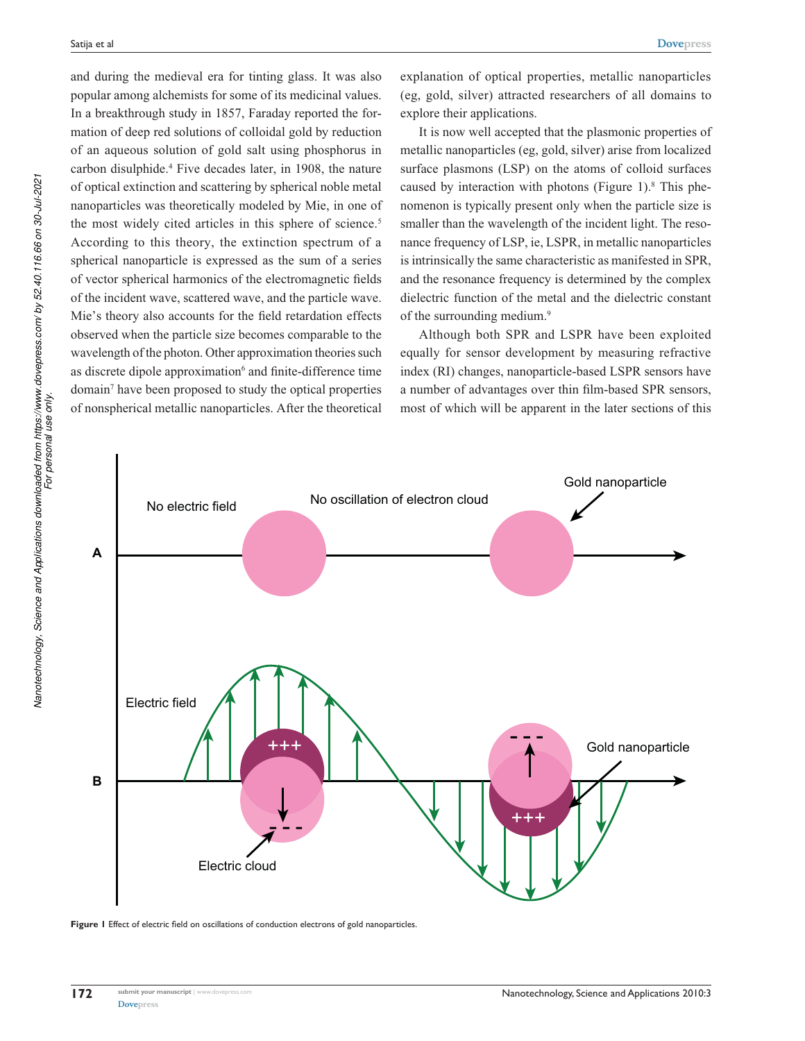and during the medieval era for tinting glass. It was also popular among alchemists for some of its medicinal values. In a breakthrough study in 1857, Faraday reported the formation of deep red solutions of colloidal gold by reduction of an aqueous solution of gold salt using phosphorus in carbon disulphide.<sup>4</sup> Five decades later, in 1908, the nature of optical extinction and scattering by spherical noble metal nanoparticles was theoretically modeled by Mie, in one of the most widely cited articles in this sphere of science.<sup>5</sup> According to this theory, the extinction spectrum of a spherical nanoparticle is expressed as the sum of a series of vector spherical harmonics of the electromagnetic fields of the incident wave, scattered wave, and the particle wave. Mie's theory also accounts for the field retardation effects observed when the particle size becomes comparable to the wavelength of the photon. Other approximation theories such as discrete dipole approximation<sup>6</sup> and finite-difference time domain<sup>7</sup> have been proposed to study the optical properties of nonspherical metallic nanoparticles. After the theoretical

explanation of optical properties, metallic nanoparticles (eg, gold, silver) attracted researchers of all domains to explore their applications.

It is now well accepted that the plasmonic properties of metallic nanoparticles (eg, gold, silver) arise from localized surface plasmons (LSP) on the atoms of colloid surfaces caused by interaction with photons (Figure  $1$ ).<sup>8</sup> This phenomenon is typically present only when the particle size is smaller than the wavelength of the incident light. The resonance frequency of LSP, ie, LSPR, in metallic nanoparticles is intrinsically the same characteristic as manifested in SPR, and the resonance frequency is determined by the complex dielectric function of the metal and the dielectric constant of the surrounding medium.<sup>9</sup>

Although both SPR and LSPR have been exploited equally for sensor development by measuring refractive index (RI) changes, nanoparticle-based LSPR sensors have a number of advantages over thin film-based SPR sensors, most of which will be apparent in the later sections of this



Figure 1 Effect of electric field on oscillations of conduction electrons of gold nanoparticles.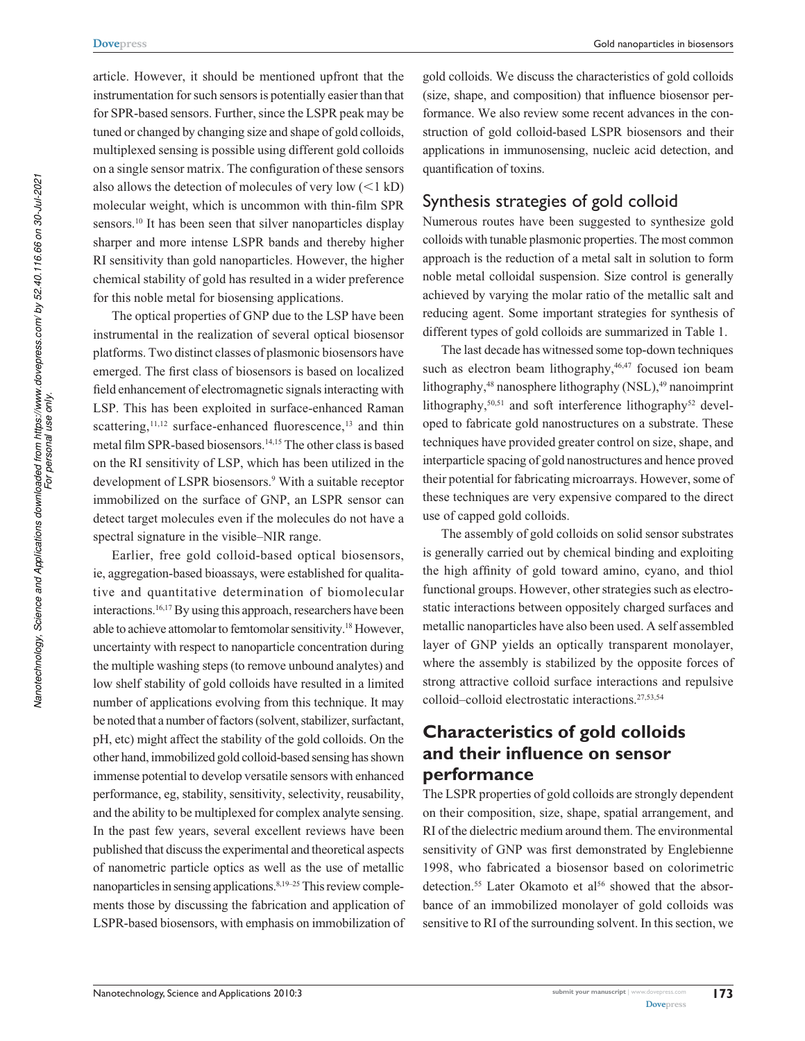article. However, it should be mentioned upfront that the instrumentation for such sensors is potentially easier than that for SPR-based sensors. Further, since the LSPR peak may be tuned or changed by changing size and shape of gold colloids, multiplexed sensing is possible using different gold colloids on a single sensor matrix. The configuration of these sensors also allows the detection of molecules of very low  $(< 1$  kD) molecular weight, which is uncommon with thin-film SPR sensors.<sup>10</sup> It has been seen that silver nanoparticles display sharper and more intense LSPR bands and thereby higher RI sensitivity than gold nanoparticles. However, the higher chemical stability of gold has resulted in a wider preference for this noble metal for biosensing applications.

The optical properties of GNP due to the LSP have been instrumental in the realization of several optical biosensor platforms. Two distinct classes of plasmonic biosensors have emerged. The first class of biosensors is based on localized field enhancement of electromagnetic signals interacting with LSP. This has been exploited in surface-enhanced Raman scattering,<sup>11,12</sup> surface-enhanced fluorescence,<sup>13</sup> and thin metal film SPR-based biosensors.14,15 The other class is based on the RI sensitivity of LSP, which has been utilized in the development of LSPR biosensors.<sup>9</sup> With a suitable receptor immobilized on the surface of GNP, an LSPR sensor can detect target molecules even if the molecules do not have a spectral signature in the visible–NIR range.

Earlier, free gold colloid-based optical biosensors, ie, aggregation-based bioassays, were established for qualitative and quantitative determination of biomolecular interactions.16,17 By using this approach, researchers have been able to achieve attomolar to femtomolar sensitivity.<sup>18</sup> However, uncertainty with respect to nanoparticle concentration during the multiple washing steps (to remove unbound analytes) and low shelf stability of gold colloids have resulted in a limited number of applications evolving from this technique. It may be noted that a number of factors (solvent, stabilizer, surfactant, pH, etc) might affect the stability of the gold colloids. On the other hand, immobilized gold colloid-based sensing has shown immense potential to develop versatile sensors with enhanced performance, eg, stability, sensitivity, selectivity, reusability, and the ability to be multiplexed for complex analyte sensing. In the past few years, several excellent reviews have been published that discuss the experimental and theoretical aspects of nanometric particle optics as well as the use of metallic nanoparticles in sensing applications.<sup>8,19–25</sup> This review complements those by discussing the fabrication and application of LSPR-based biosensors, with emphasis on immobilization of gold colloids. We discuss the characteristics of gold colloids (size, shape, and composition) that influence biosensor performance. We also review some recent advances in the construction of gold colloid-based LSPR biosensors and their applications in immunosensing, nucleic acid detection, and quantification of toxins.

## Synthesis strategies of gold colloid

Numerous routes have been suggested to synthesize gold colloids with tunable plasmonic properties. The most common approach is the reduction of a metal salt in solution to form noble metal colloidal suspension. Size control is generally achieved by varying the molar ratio of the metallic salt and reducing agent. Some important strategies for synthesis of different types of gold colloids are summarized in Table 1.

The last decade has witnessed some top-down techniques such as electron beam lithography, $46,47$  focused ion beam lithography,<sup>48</sup> nanosphere lithography (NSL),<sup>49</sup> nanoimprint lithography, $50,51$  and soft interference lithography $52$  developed to fabricate gold nanostructures on a substrate. These techniques have provided greater control on size, shape, and interparticle spacing of gold nanostructures and hence proved their potential for fabricating microarrays. However, some of these techniques are very expensive compared to the direct use of capped gold colloids.

The assembly of gold colloids on solid sensor substrates is generally carried out by chemical binding and exploiting the high affinity of gold toward amino, cyano, and thiol functional groups. However, other strategies such as electrostatic interactions between oppositely charged surfaces and metallic nanoparticles have also been used. A self assembled layer of GNP yields an optically transparent monolayer, where the assembly is stabilized by the opposite forces of strong attractive colloid surface interactions and repulsive colloid–colloid electrostatic interactions.27,53,54

# **Characteristics of gold colloids and their influence on sensor performance**

The LSPR properties of gold colloids are strongly dependent on their composition, size, shape, spatial arrangement, and RI of the dielectric medium around them. The environmental sensitivity of GNP was first demonstrated by Englebienne 1998, who fabricated a biosensor based on colorimetric detection.<sup>55</sup> Later Okamoto et al<sup>56</sup> showed that the absorbance of an immobilized monolayer of gold colloids was sensitive to RI of the surrounding solvent. In this section, we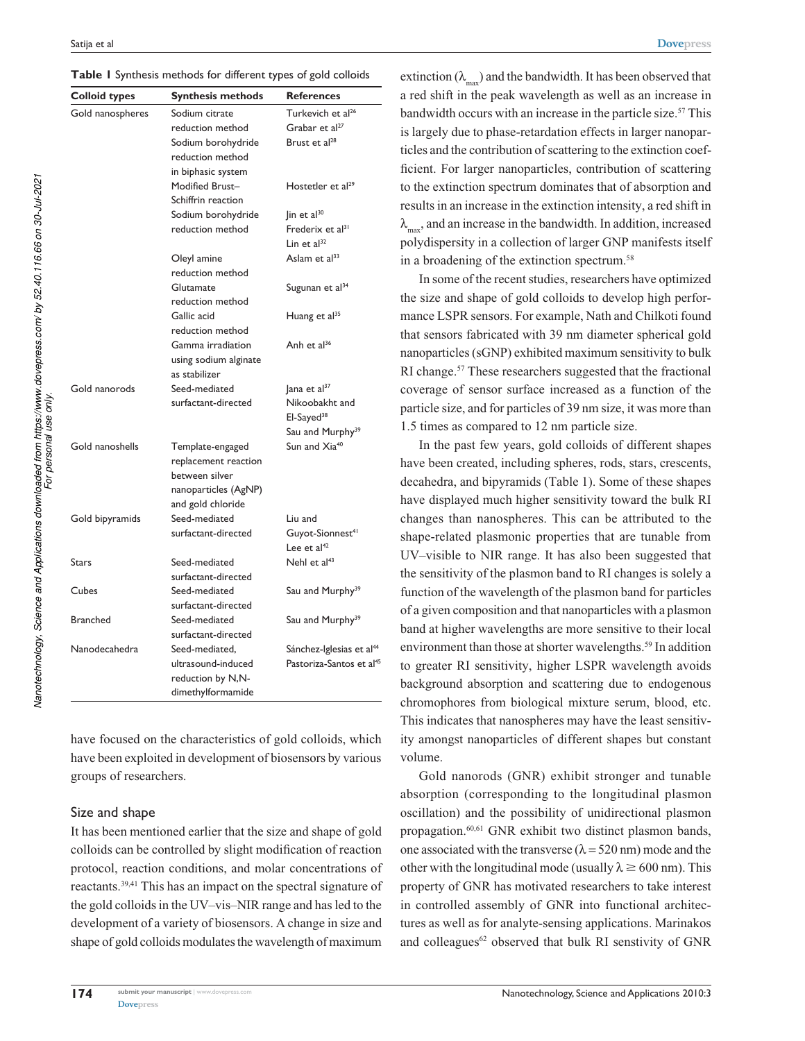Nanotechnology, Science and Applications downloaded from https://www.dovepress.com/ by 52.40.116.66 on 30-Jul-2021<br>Nanotechnology, Science and Applications downloaded from use only. *Nanotechnology, Science and Applications downloaded from https://www.dovepress.com/ by 52.40.116.66 on 30-Jul-2021 For personal use only.*

|  |  |  |  | Table I Synthesis methods for different types of gold colloids |
|--|--|--|--|----------------------------------------------------------------|
|--|--|--|--|----------------------------------------------------------------|

| <b>Colloid types</b> | <b>Synthesis methods</b> | <b>References</b>                    |
|----------------------|--------------------------|--------------------------------------|
| Gold nanospheres     | Sodium citrate           | Turkevich et al <sup>26</sup>        |
|                      | reduction method         | Grabar et al <sup>27</sup>           |
|                      | Sodium borohydride       | Brust et al <sup>28</sup>            |
|                      | reduction method         |                                      |
|                      | in biphasic system       |                                      |
|                      | Modified Brust-          | Hostetler et al <sup>29</sup>        |
|                      | Schiffrin reaction       |                                      |
|                      | Sodium borohydride       | lin et al <sup>30</sup>              |
|                      | reduction method         | Frederix et $al31$                   |
|                      |                          | Lin et al <sup>32</sup>              |
|                      | Oleyl amine              | Aslam et al <sup>33</sup>            |
|                      | reduction method         |                                      |
|                      | Glutamate                | Sugunan et al <sup>34</sup>          |
|                      | reduction method         |                                      |
|                      | Gallic acid              | Huang et $al^{35}$                   |
|                      | reduction method         |                                      |
|                      | Gamma irradiation        | Anh et $al^{36}$                     |
|                      | using sodium alginate    |                                      |
|                      | as stabilizer            |                                      |
| Gold nanorods        | Seed-mediated            | lana et al <sup>37</sup>             |
|                      | surfactant-directed      | Nikoobakht and                       |
|                      |                          | $El-Sayed38$                         |
|                      |                          | Sau and Murphy <sup>39</sup>         |
| Gold nanoshells      | Template-engaged         | Sun and Xia <sup>40</sup>            |
|                      | replacement reaction     |                                      |
|                      | between silver           |                                      |
|                      | nanoparticles (AgNP)     |                                      |
|                      | and gold chloride        |                                      |
|                      | Seed-mediated            | Liu and                              |
| Gold bipyramids      | surfactant-directed      | Guyot-Sionnest <sup>41</sup>         |
|                      |                          | Lee et $al42$                        |
|                      | Seed-mediated            | Nehl et al <sup>43</sup>             |
| <b>Stars</b>         | surfactant-directed      |                                      |
|                      |                          |                                      |
| Cubes                | Seed-mediated            | Sau and Murphy <sup>39</sup>         |
|                      | surfactant-directed      |                                      |
| <b>Branched</b>      | Seed-mediated            | Sau and Murphy <sup>39</sup>         |
|                      | surfactant-directed      |                                      |
| Nanodecahedra        | Seed-mediated.           | Sánchez-Iglesias et al <sup>44</sup> |
|                      | ultrasound-induced       | Pastoriza-Santos et al <sup>45</sup> |
|                      | reduction by N,N-        |                                      |
|                      | dimethylformamide        |                                      |

have focused on the characteristics of gold colloids, which have been exploited in development of biosensors by various groups of researchers.

### Size and shape

It has been mentioned earlier that the size and shape of gold colloids can be controlled by slight modification of reaction protocol, reaction conditions, and molar concentrations of reactants.39,41 This has an impact on the spectral signature of the gold colloids in the UV–vis–NIR range and has led to the development of a variety of biosensors. A change in size and shape of gold colloids modulates the wavelength of maximum

extinction ( $\lambda_{\text{max}}$ ) and the bandwidth. It has been observed that a red shift in the peak wavelength as well as an increase in bandwidth occurs with an increase in the particle size.<sup>57</sup> This is largely due to phase-retardation effects in larger nanoparticles and the contribution of scattering to the extinction coefficient. For larger nanoparticles, contribution of scattering to the extinction spectrum dominates that of absorption and results in an increase in the extinction intensity, a red shift in  $\lambda_{\text{max}}$ , and an increase in the bandwidth. In addition, increased polydispersity in a collection of larger GNP manifests itself in a broadening of the extinction spectrum.<sup>58</sup>

In some of the recent studies, researchers have optimized the size and shape of gold colloids to develop high performance LSPR sensors. For example, Nath and Chilkoti found that sensors fabricated with 39 nm diameter spherical gold nanoparticles (sGNP) exhibited maximum sensitivity to bulk RI change.<sup>57</sup> These researchers suggested that the fractional coverage of sensor surface increased as a function of the particle size, and for particles of 39 nm size, it was more than 1.5 times as compared to 12 nm particle size.

In the past few years, gold colloids of different shapes have been created, including spheres, rods, stars, crescents, decahedra, and bipyramids (Table 1). Some of these shapes have displayed much higher sensitivity toward the bulk RI changes than nanospheres. This can be attributed to the shape-related plasmonic properties that are tunable from UV–visible to NIR range. It has also been suggested that the sensitivity of the plasmon band to RI changes is solely a function of the wavelength of the plasmon band for particles of a given composition and that nanoparticles with a plasmon band at higher wavelengths are more sensitive to their local environment than those at shorter wavelengths.<sup>59</sup> In addition to greater RI sensitivity, higher LSPR wavelength avoids background absorption and scattering due to endogenous chromophores from biological mixture serum, blood, etc. This indicates that nanospheres may have the least sensitivity amongst nanoparticles of different shapes but constant volume.

Gold nanorods (GNR) exhibit stronger and tunable absorption (corresponding to the longitudinal plasmon oscillation) and the possibility of unidirectional plasmon propagation.<sup>60,61</sup> GNR exhibit two distinct plasmon bands, one associated with the transverse  $(\lambda = 520 \text{ nm})$  mode and the other with the longitudinal mode (usually  $\lambda \ge 600$  nm). This property of GNR has motivated researchers to take interest in controlled assembly of GNR into functional architectures as well as for analyte-sensing applications. Marinakos and colleagues<sup>62</sup> observed that bulk RI senstivity of GNR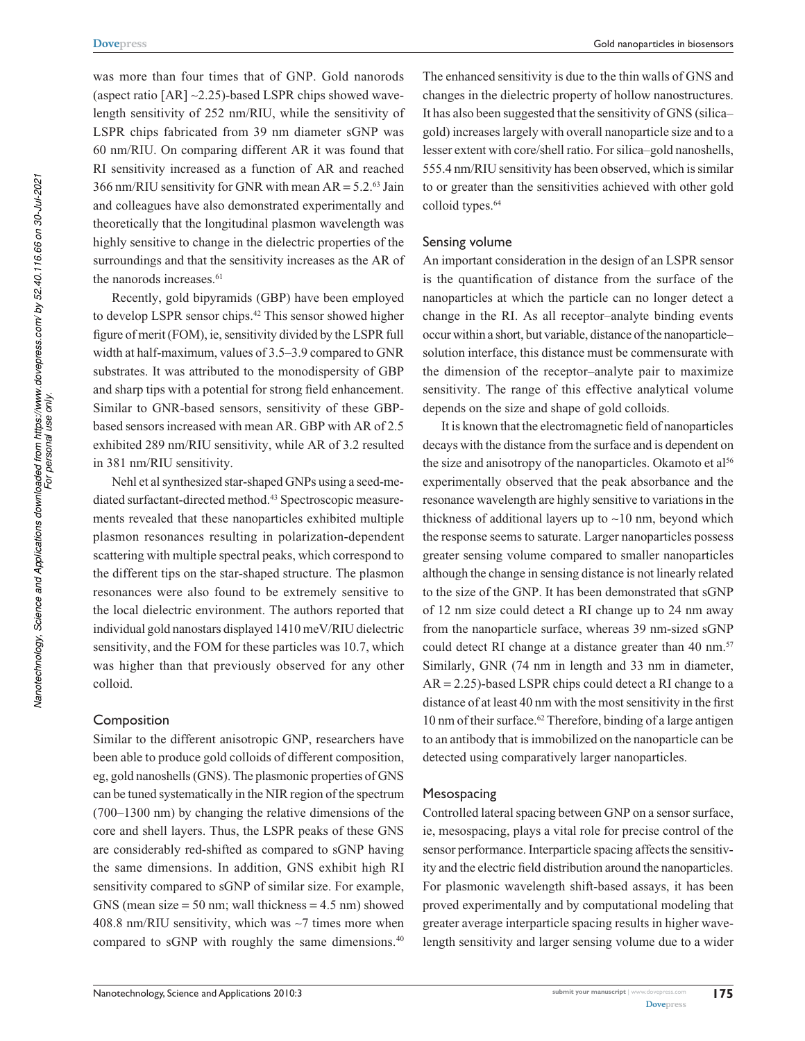was more than four times that of GNP. Gold nanorods (aspect ratio [AR] ∼2.25)-based LSPR chips showed wavelength sensitivity of 252 nm/RIU, while the sensitivity of LSPR chips fabricated from 39 nm diameter sGNP was 60 nm/RIU. On comparing different AR it was found that RI sensitivity increased as a function of AR and reached 366 nm/RIU sensitivity for GNR with mean  $AR = 5.2$ .<sup>63</sup> Jain and colleagues have also demonstrated experimentally and theoretically that the longitudinal plasmon wavelength was highly sensitive to change in the dielectric properties of the surroundings and that the sensitivity increases as the AR of the nanorods increases.<sup>61</sup>

Recently, gold bipyramids (GBP) have been employed to develop LSPR sensor chips.<sup>42</sup> This sensor showed higher figure of merit (FOM), ie, sensitivity divided by the LSPR full width at half-maximum, values of 3.5–3.9 compared to GNR substrates. It was attributed to the monodispersity of GBP and sharp tips with a potential for strong field enhancement. Similar to GNR-based sensors, sensitivity of these GBPbased sensors increased with mean AR. GBP with AR of 2.5 exhibited 289 nm/RIU sensitivity, while AR of 3.2 resulted in 381 nm/RIU sensitivity.

Nehl et al synthesized star-shaped GNPs using a seed-mediated surfactant-directed method.43 Spectroscopic measurements revealed that these nanoparticles exhibited multiple plasmon resonances resulting in polarization-dependent scattering with multiple spectral peaks, which correspond to the different tips on the star-shaped structure. The plasmon resonances were also found to be extremely sensitive to the local dielectric environment. The authors reported that individual gold nanostars displayed 1410 meV/RIU dielectric sensitivity, and the FOM for these particles was 10.7, which was higher than that previously observed for any other colloid.

### **Composition**

Similar to the different anisotropic GNP, researchers have been able to produce gold colloids of different composition, eg, gold nanoshells (GNS). The plasmonic properties of GNS can be tuned systematically in the NIR region of the spectrum (700–1300 nm) by changing the relative dimensions of the core and shell layers. Thus, the LSPR peaks of these GNS are considerably red-shifted as compared to sGNP having the same dimensions. In addition, GNS exhibit high RI sensitivity compared to sGNP of similar size. For example, GNS (mean size  $= 50$  nm; wall thickness  $= 4.5$  nm) showed 408.8 nm/RIU sensitivity, which was ∼7 times more when compared to sGNP with roughly the same dimensions.<sup>40</sup>

The enhanced sensitivity is due to the thin walls of GNS and changes in the dielectric property of hollow nanostructures. It has also been suggested that the sensitivity of GNS (silica– gold) increases largely with overall nanoparticle size and to a lesser extent with core/shell ratio. For silica–gold nanoshells, 555.4 nm/RIU sensitivity has been observed, which is similar to or greater than the sensitivities achieved with other gold colloid types.<sup>64</sup>

### Sensing volume

An important consideration in the design of an LSPR sensor is the quantification of distance from the surface of the nanoparticles at which the particle can no longer detect a change in the RI. As all receptor–analyte binding events occur within a short, but variable, distance of the nanoparticle– solution interface, this distance must be commensurate with the dimension of the receptor–analyte pair to maximize sensitivity. The range of this effective analytical volume depends on the size and shape of gold colloids.

It is known that the electromagnetic field of nanoparticles decays with the distance from the surface and is dependent on the size and anisotropy of the nanoparticles. Okamoto et al<sup>56</sup> experimentally observed that the peak absorbance and the resonance wavelength are highly sensitive to variations in the thickness of additional layers up to ∼10 nm, beyond which the response seems to saturate. Larger nanoparticles possess greater sensing volume compared to smaller nanoparticles although the change in sensing distance is not linearly related to the size of the GNP. It has been demonstrated that sGNP of 12 nm size could detect a RI change up to 24 nm away from the nanoparticle surface, whereas 39 nm-sized sGNP could detect RI change at a distance greater than 40 nm.<sup>57</sup> Similarly, GNR (74 nm in length and 33 nm in diameter, AR = 2.25)-based LSPR chips could detect a RI change to a distance of at least 40 nm with the most sensitivity in the first 10 nm of their surface.<sup>62</sup> Therefore, binding of a large antigen to an antibody that is immobilized on the nanoparticle can be detected using comparatively larger nanoparticles.

### **Mesospacing**

Controlled lateral spacing between GNP on a sensor surface, ie, mesospacing, plays a vital role for precise control of the sensor performance. Interparticle spacing affects the sensitivity and the electric field distribution around the nanoparticles. For plasmonic wavelength shift-based assays, it has been proved experimentally and by computational modeling that greater average interparticle spacing results in higher wavelength sensitivity and larger sensing volume due to a wider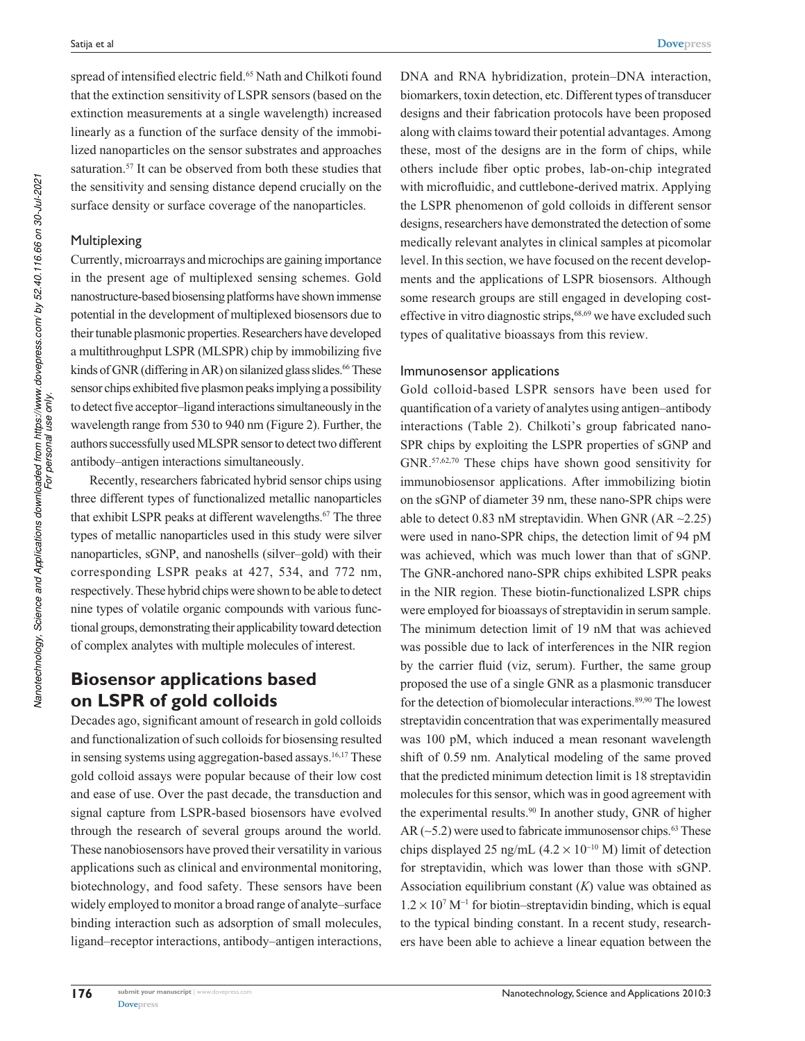spread of intensified electric field.<sup>65</sup> Nath and Chilkoti found that the extinction sensitivity of LSPR sensors (based on the extinction measurements at a single wavelength) increased linearly as a function of the surface density of the immobilized nanoparticles on the sensor substrates and approaches saturation.<sup>57</sup> It can be observed from both these studies that the sensitivity and sensing distance depend crucially on the surface density or surface coverage of the nanoparticles.

### **Multiplexing**

Currently, microarrays and microchips are gaining importance in the present age of multiplexed sensing schemes. Gold nanostructure-based biosensing platforms have shown immense potential in the development of multiplexed biosensors due to their tunable plasmonic properties. Researchers have developed a multithroughput LSPR (MLSPR) chip by immobilizing five kinds of GNR (differing in AR) on silanized glass slides.<sup>66</sup> These sensor chips exhibited five plasmon peaks implying a possibility to detect five acceptor–ligand interactions simultaneously in the wavelength range from 530 to 940 nm (Figure 2). Further, the authors successfully used MLSPR sensor to detect two different antibody–antigen interactions simultaneously.

Recently, researchers fabricated hybrid sensor chips using three different types of functionalized metallic nanoparticles that exhibit LSPR peaks at different wavelengths.<sup>67</sup> The three types of metallic nanoparticles used in this study were silver nanoparticles, sGNP, and nanoshells (silver–gold) with their corresponding LSPR peaks at 427, 534, and 772 nm, respectively. These hybrid chips were shown to be able to detect nine types of volatile organic compounds with various functional groups, demonstrating their applicability toward detection of complex analytes with multiple molecules of interest.

# **Biosensor applications based on LSPR of gold colloids**

Decades ago, significant amount of research in gold colloids and functionalization of such colloids for biosensing resulted in sensing systems using aggregation-based assays.<sup>16,17</sup> These gold colloid assays were popular because of their low cost and ease of use. Over the past decade, the transduction and signal capture from LSPR-based biosensors have evolved through the research of several groups around the world. These nanobiosensors have proved their versatility in various applications such as clinical and environmental monitoring, biotechnology, and food safety. These sensors have been widely employed to monitor a broad range of analyte–surface binding interaction such as adsorption of small molecules, ligand–receptor interactions, antibody–antigen interactions, DNA and RNA hybridization, protein–DNA interaction, biomarkers, toxin detection, etc. Different types of transducer designs and their fabrication protocols have been proposed along with claims toward their potential advantages. Among these, most of the designs are in the form of chips, while others include fiber optic probes, lab-on-chip integrated with microfluidic, and cuttlebone-derived matrix. Applying the LSPR phenomenon of gold colloids in different sensor designs, researchers have demonstrated the detection of some medically relevant analytes in clinical samples at picomolar level. In this section, we have focused on the recent developments and the applications of LSPR biosensors. Although some research groups are still engaged in developing costeffective in vitro diagnostic strips, $68,69$  we have excluded such types of qualitative bioassays from this review.

### immunosensor applications

Gold colloid-based LSPR sensors have been used for quantification of a variety of analytes using antigen–antibody interactions (Table 2). Chilkoti's group fabricated nano-SPR chips by exploiting the LSPR properties of sGNP and GNR.57,62,70 These chips have shown good sensitivity for immunobiosensor applications. After immobilizing biotin on the sGNP of diameter 39 nm, these nano-SPR chips were able to detect 0.83 nM streptavidin. When GNR (AR ∼2.25) were used in nano-SPR chips, the detection limit of 94 pM was achieved, which was much lower than that of sGNP. The GNR-anchored nano-SPR chips exhibited LSPR peaks in the NIR region. These biotin-functionalized LSPR chips were employed for bioassays of streptavidin in serum sample. The minimum detection limit of 19 nM that was achieved was possible due to lack of interferences in the NIR region by the carrier fluid (viz, serum). Further, the same group proposed the use of a single GNR as a plasmonic transducer for the detection of biomolecular interactions.<sup>89,90</sup> The lowest streptavidin concentration that was experimentally measured was 100 pM, which induced a mean resonant wavelength shift of 0.59 nm. Analytical modeling of the same proved that the predicted minimum detection limit is 18 streptavidin molecules for this sensor, which was in good agreement with the experimental results.<sup>90</sup> In another study, GNR of higher AR (~5.2) were used to fabricate immunosensor chips.<sup>63</sup> These chips displayed 25 ng/mL (4.2 × 10<sup>-10</sup> M) limit of detection for streptavidin, which was lower than those with sGNP. Association equilibrium constant (*K*) value was obtained as  $1.2 \times 10^7$  M<sup>-1</sup> for biotin–streptavidin binding, which is equal to the typical binding constant. In a recent study, researchers have been able to achieve a linear equation between the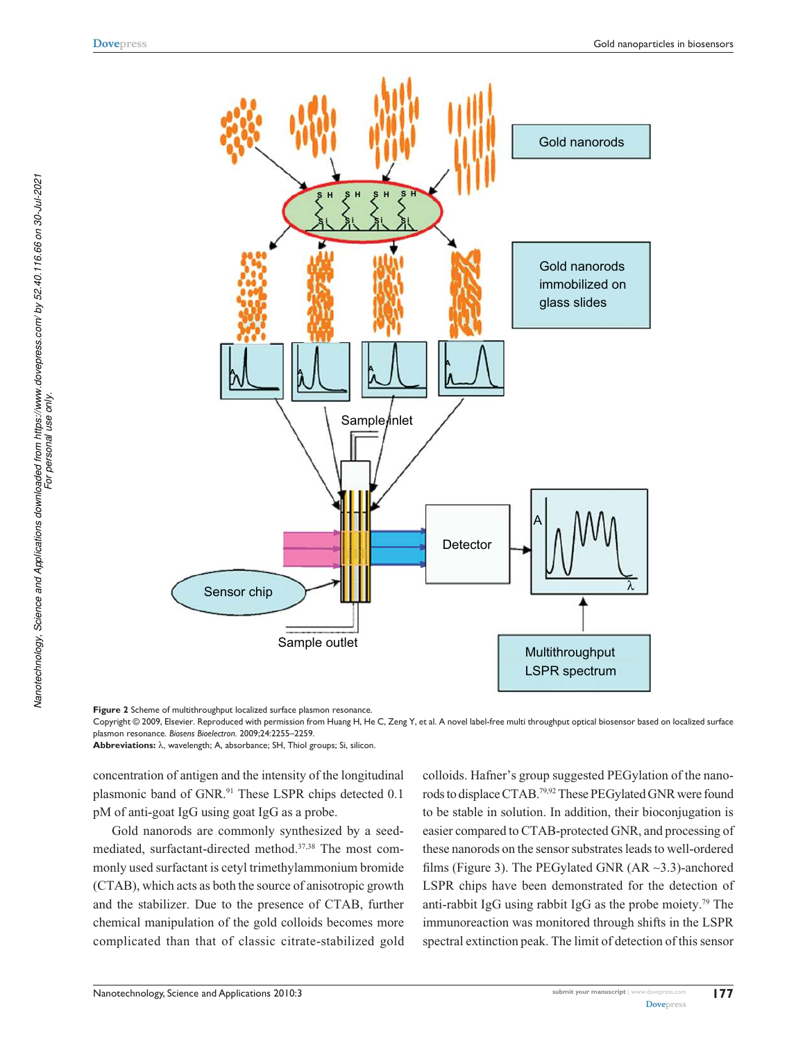



**Figure 2** Scheme of multithroughput localized surface plasmon resonance.

Copyright © 2009, elsevier. Reproduced with permission from Huang H, He C, Zeng Y, et al. A novel label-free multi throughput optical biosensor based on localized surface plasmon resonance. *Biosens Bioelectron*. 2009;24:2255–2259.

**Abbreviations:** λ, wavelength; A, absorbance; SH, Thiol groups; Si, silicon.

concentration of antigen and the intensity of the longitudinal plasmonic band of GNR.<sup>91</sup> These LSPR chips detected 0.1 pM of anti-goat IgG using goat IgG as a probe.

Gold nanorods are commonly synthesized by a seed mediated, surfactant-directed method.37,38 The most commonly used surfactant is cetyl trimethylammonium bromide (CTAB), which acts as both the source of anisotropic growth and the stabilizer. Due to the presence of CTAB, further chemical manipulation of the gold colloids becomes more complicated than that of classic citrate-stabilized gold  colloids. Hafner's group suggested PEGylation of the nanorods to displace CTAB.79,92 These PEGylated GNR were found to be stable in solution. In addition, their bioconjugation is easier compared to CTAB-protected GNR, and processing of these nanorods on the sensor substrates leads to well-ordered films (Figure 3). The PEGylated GNR (AR ∼3.3)-anchored LSPR chips have been demonstrated for the detection of anti-rabbit IgG using rabbit IgG as the probe moiety.<sup>79</sup> The immunoreaction was monitored through shifts in the LSPR spectral extinction peak. The limit of detection of this sensor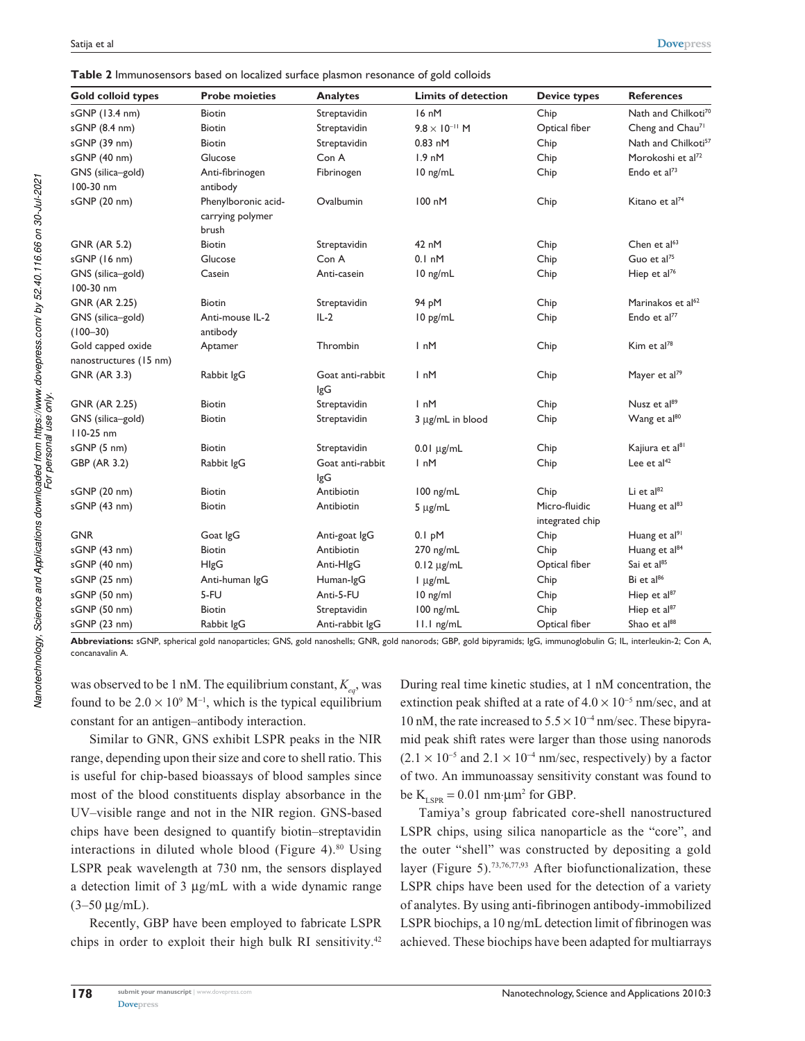| Table 2 Immunosensors based on localized surface plasmon resonance of gold colloids |  |  |
|-------------------------------------------------------------------------------------|--|--|
|-------------------------------------------------------------------------------------|--|--|

| <b>Gold colloid types</b> | <b>Probe moieties</b> | <b>Analytes</b>  | <b>Limits of detection</b> | <b>Device types</b>   | <b>References</b>                                    |
|---------------------------|-----------------------|------------------|----------------------------|-----------------------|------------------------------------------------------|
| sGNP (13.4 nm)            | <b>Biotin</b>         | Streptavidin     | 16 nM                      | Chip                  | Nath and Chilkoti <sup>70</sup>                      |
| sGNP (8.4 nm)             | <b>Biotin</b>         | Streptavidin     | $9.8 \times 10^{-11}$ M    | Optical fiber         | Cheng and Chau <sup>71</sup>                         |
| sGNP (39 nm)              | <b>Biotin</b>         | Streptavidin     | $0.83$ nM                  | Chip                  | Nath and Chilkoti <sup>57</sup>                      |
| sGNP (40 nm)              | Glucose               | Con A            | 1.9 <sub>n</sub> M         | Chip                  | Morokoshi et al <sup>72</sup>                        |
| GNS (silica-gold)         | Anti-fibrinogen       | Fibrinogen       | $10$ ng/mL                 | Chip                  | Endo et al <sup>73</sup>                             |
| 100-30 nm                 | antibody              |                  |                            |                       |                                                      |
| sGNP (20 nm)              | Phenylboronic acid-   | Ovalbumin        | 100 nM                     | Chip                  | Kitano et al <sup>74</sup>                           |
|                           | carrying polymer      |                  |                            |                       |                                                      |
|                           | brush                 |                  |                            |                       |                                                      |
| <b>GNR (AR 5.2)</b>       | <b>Biotin</b>         | Streptavidin     | 42 nM                      | Chip                  | Chen et al <sup>63</sup>                             |
| sGNP (16 nm)              | Glucose               | Con A            | 0.1 nM                     | Chip                  | Guo et $al^{75}$                                     |
| GNS (silica-gold)         | Casein                | Anti-casein      | 10 ng/mL                   | Chip                  | Hiep et al <sup>76</sup>                             |
| 100-30 nm                 |                       |                  |                            |                       |                                                      |
| GNR (AR 2.25)             | <b>Biotin</b>         | Streptavidin     | 94 pM                      | Chip                  | Marinakos et al <sup>62</sup>                        |
| GNS (silica-gold)         | Anti-mouse IL-2       | $IL-2$           | $10$ pg/mL                 | Chip                  | Endo et al <sup>77</sup>                             |
| $(100 - 30)$              | antibody              |                  |                            |                       |                                                      |
| Gold capped oxide         | Aptamer               | Thrombin         | InM                        | Chip                  | Kim et al <sup>78</sup>                              |
| nanostructures (15 nm)    |                       |                  |                            |                       |                                                      |
| GNR (AR 3.3)              | Rabbit IgG            | Goat anti-rabbit | InM                        | Chip                  | Mayer et al <sup>79</sup>                            |
|                           |                       | <b>IgG</b>       |                            |                       |                                                      |
| GNR (AR 2.25)             | <b>Biotin</b>         | Streptavidin     | InM                        | Chip                  | Nusz et al <sup>89</sup>                             |
| GNS (silica-gold)         | <b>Biotin</b>         | Streptavidin     | 3 µg/mL in blood           | Chip                  | Wang et al <sup>80</sup>                             |
| $110-25$ nm               |                       |                  |                            |                       |                                                      |
| sGNP(5 nm)                | <b>Biotin</b>         | Streptavidin     | $0.01 \mu g/mL$            | Chip                  | Kajiura et al <sup>81</sup>                          |
| GBP (AR 3.2)              | Rabbit IgG            | Goat anti-rabbit | InM                        | Chip                  | Lee et $al42$                                        |
|                           |                       | lgG              |                            |                       |                                                      |
| sGNP (20 nm)              | <b>Biotin</b>         | Antibiotin       | $100$ ng/mL                | Chip                  | Li et al <sup>82</sup>                               |
| sGNP (43 nm)              | <b>Biotin</b>         | Antibiotin       | $5 \mu g/mL$               | Micro-fluidic         | Huang et al <sup>83</sup>                            |
| <b>GNR</b>                |                       |                  |                            | integrated chip       |                                                      |
|                           | Goat IgG              | Anti-goat IgG    | $0.1$ pM                   | Chip                  | Huang et al <sup>91</sup>                            |
| sGNP (43 nm)              | <b>Biotin</b>         | Antibiotin       | 270 ng/mL                  | Chip<br>Optical fiber | Huang et al <sup>84</sup><br>Sai et al <sup>85</sup> |
| sGNP (40 nm)              | HIgG                  | Anti-HIgG        | $0.12 \mu g/mL$            |                       | Bi et $a^{86}$                                       |
| sGNP (25 nm)              | Anti-human IgG        | Human-IgG        | $l \mu g/mL$               | Chip                  |                                                      |
| sGNP (50 nm)              | 5-FU                  | Anti-5-FU        | $10$ ng/ml                 | Chip                  | Hiep et al <sup>87</sup>                             |
| sGNP (50 nm)              | <b>Biotin</b>         | Streptavidin     | $100$ ng/mL                | Chip                  | Hiep et al <sup>87</sup>                             |
| sGNP (23 nm)              | Rabbit IgG            | Anti-rabbit IgG  | $11.1$ ng/mL               | Optical fiber         | Shao et al <sup>88</sup>                             |

**Abbreviations:** sGNP, spherical gold nanoparticles; GNS, gold nanoshells; GNR, gold nanorods; GBP, gold bipyramids; igG, immunoglobulin G; iL, interleukin-2; Con A, concanavalin A.

was observed to be 1 nM. The equilibrium constant, *Keq* , was found to be  $2.0 \times 10^9$  M<sup>-1</sup>, which is the typical equilibrium constant for an antigen–antibody interaction.

Similar to GNR, GNS exhibit LSPR peaks in the NIR range, depending upon their size and core to shell ratio. This is useful for chip-based bioassays of blood samples since most of the blood constituents display absorbance in the UV–visible range and not in the NIR region. GNS-based chips have been designed to quantify biotin–streptavidin interactions in diluted whole blood (Figure 4). $80$  Using LSPR peak wavelength at 730 nm, the sensors displayed a detection limit of 3 μg/mL with a wide dynamic range  $(3-50 \mu g/mL)$ .

Recently, GBP have been employed to fabricate LSPR chips in order to exploit their high bulk RI sensitivity.<sup>42</sup>

During real time kinetic studies, at 1 nM concentration, the extinction peak shifted at a rate of  $4.0 \times 10^{-5}$  nm/sec, and at 10 nM, the rate increased to 5.5 × 10<sup>−</sup><sup>4</sup> nm/sec. These bipyramid peak shift rates were larger than those using nanorods  $(2.1 \times 10^{-5} \text{ and } 2.1 \times 10^{-4} \text{ nm/sec, respectively})$  by a factor of two. An immunoassay sensitivity constant was found to be  $K_{LSPR} = 0.01$  nm⋅ $\mu$ m<sup>2</sup> for GBP.

Tamiya's group fabricated core-shell nanostructured LSPR chips, using silica nanoparticle as the "core", and the outer "shell" was constructed by depositing a gold layer (Figure 5).73,76,77,93 After biofunctionalization, these LSPR chips have been used for the detection of a variety of analytes. By using anti-fibrinogen antibody-immobilized LSPR biochips, a 10 ng/mL detection limit of fibrinogen was achieved. These biochips have been adapted for multiarrays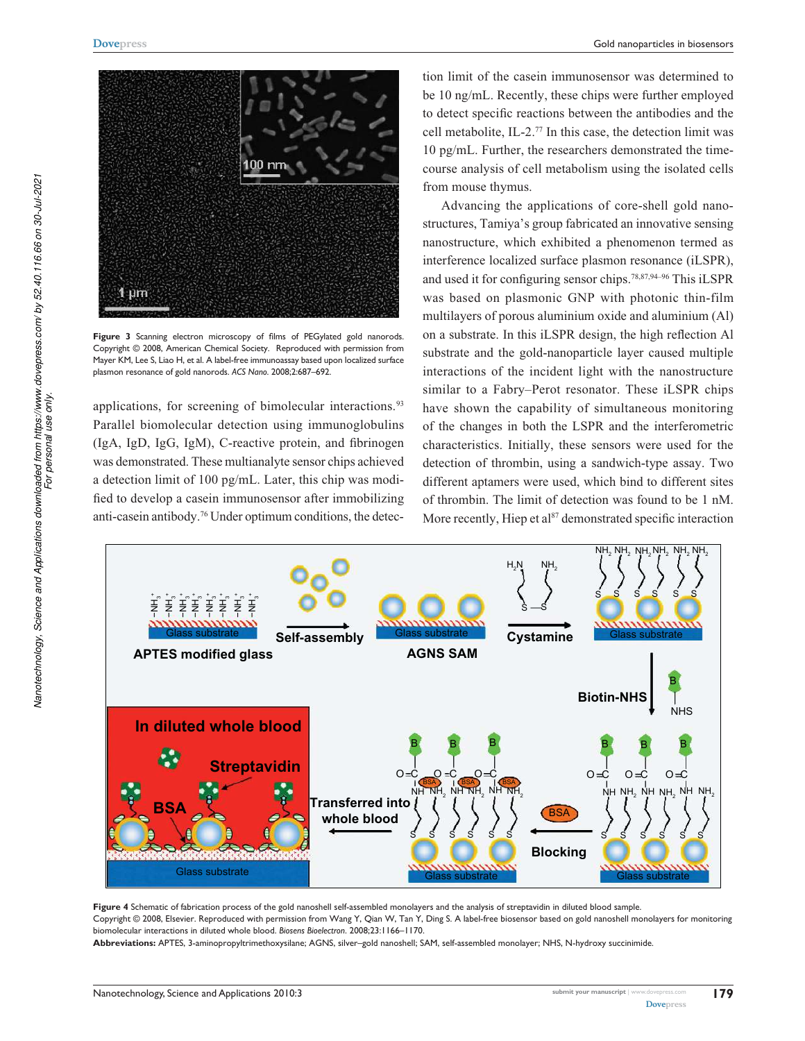

Figure 3 Scanning electron microscopy of films of PEGylated gold nanorods. Copyright © 2008, American Chemical Society. Reproduced with permission from Mayer KM, Lee S, Liao H, et al. A label-free immunoassay based upon localized surface plasmon resonance of gold nanorods. *ACS Nano*. 2008;2:687–692.

applications, for screening of bimolecular interactions.<sup>93</sup> Parallel biomolecular detection using immunoglobulins (IgA, IgD, IgG, IgM), C-reactive protein, and fibrinogen was demonstrated. These multianalyte sensor chips achieved a detection limit of 100 pg/mL. Later, this chip was modified to develop a casein immunosensor after immobilizing anti-casein antibody.76 Under optimum conditions, the detection limit of the casein immunosensor was determined to be 10 ng/mL. Recently, these chips were further employed to detect specific reactions between the antibodies and the cell metabolite,  $IL-2.<sup>77</sup>$  In this case, the detection limit was 10 pg/mL. Further, the researchers demonstrated the timecourse analysis of cell metabolism using the isolated cells from mouse thymus.

Advancing the applications of core-shell gold nanostructures, Tamiya's group fabricated an innovative sensing nanostructure, which exhibited a phenomenon termed as interference localized surface plasmon resonance (iLSPR), and used it for configuring sensor chips.78,87,94–96 This iLSPR was based on plasmonic GNP with photonic thin-film multilayers of porous aluminium oxide and aluminium (Al) on a substrate. In this iLSPR design, the high reflection Al substrate and the gold-nanoparticle layer caused multiple interactions of the incident light with the nanostructure similar to a Fabry–Perot resonator. These iLSPR chips have shown the capability of simultaneous monitoring of the changes in both the LSPR and the interferometric characteristics. Initially, these sensors were used for the detection of thrombin, using a sandwich-type assay. Two different aptamers were used, which bind to different sites of thrombin. The limit of detection was found to be 1 nM. More recently, Hiep et al<sup>87</sup> demonstrated specific interaction



**Figure 4** Schematic of fabrication process of the gold nanoshell self-assembled monolayers and the analysis of streptavidin in diluted blood sample. Copyright © 2008, elsevier. Reproduced with permission from wang Y, Qian w, Tan Y, Ding S. A label-free biosensor based on gold nanoshell monolayers for monitoring biomolecular interactions in diluted whole blood. *Biosens Bioelectron*. 2008;23:1166–1170. **Abbreviations:** APTeS, 3-aminopropyltrimethoxysilane; AGNS, silver–gold nanoshell; SAM, self-assembled monolayer; NHS, N-hydroxy succinimide.

Nanotechnology, Science and Applications downloaded from https://www.dovepress.com/ by 52.40.116.66 on 30-Jul-2021<br>Nanotechnology, Science and Applications downloaded from use only. *Nanotechnology, Science and Applications downloaded from https://www.dovepress.com/ by 52.40.116.66 on 30-Jul-2021 For personal use only.*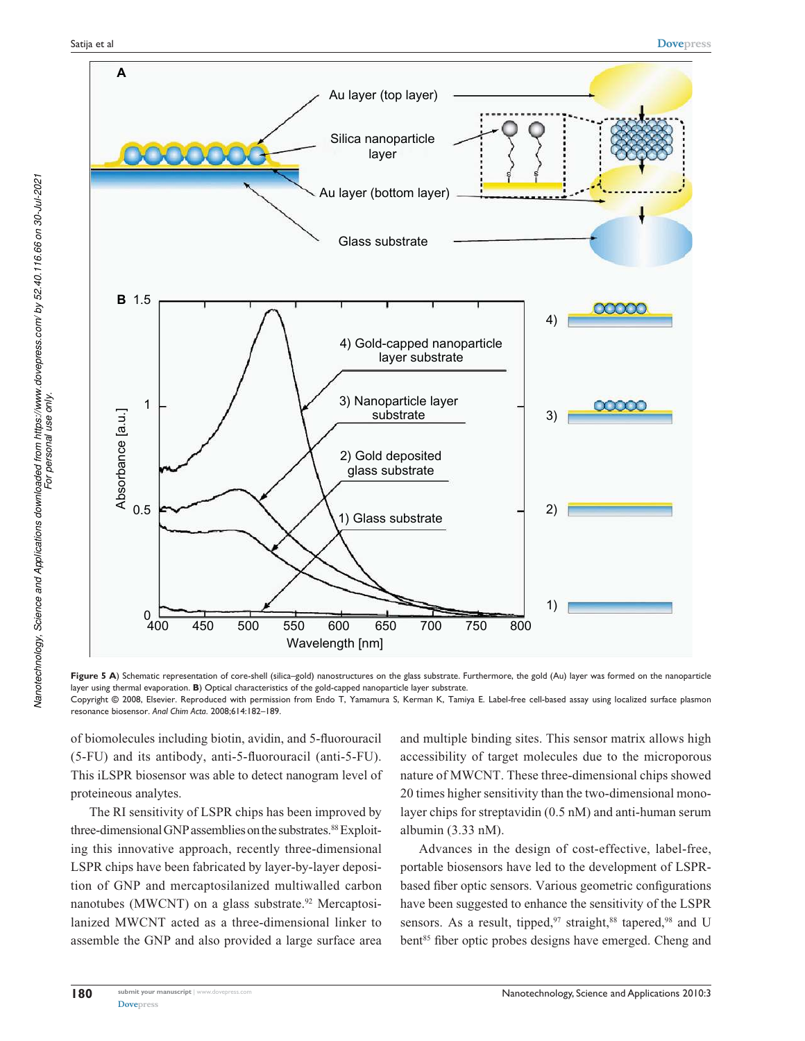

Figure 5 A) Schematic representation of core-shell (silica-gold) nanostructures on the glass substrate. Furthermore, the gold (Au) layer was formed on the nanoparticle layer using thermal evaporation. **B**) Optical characteristics of the gold-capped nanoparticle layer substrate.

Copyright **©** 2008, elsevier. Reproduced with permission from endo T, Yamamura S, Kerman K, Tamiya e. Label-free cell-based assay using localized surface plasmon resonance biosensor. *Anal Chim Acta*. 2008;614:182–189.

of biomolecules including biotin, avidin, and 5-fluorouracil (5-FU) and its antibody, anti-5-fluorouracil (anti-5-FU). This iLSPR biosensor was able to detect nanogram level of proteineous analytes.

The RI sensitivity of LSPR chips has been improved by three-dimensional GNP assemblies on the substrates.<sup>88</sup> Exploiting this innovative approach, recently three- dimensional LSPR chips have been fabricated by layer-by-layer deposition of GNP and mercaptosilanized multiwalled carbon nanotubes (MWCNT) on a glass substrate.<sup>92</sup> Mercaptosilanized MWCNT acted as a three-dimensional linker to assemble the GNP and also provided a large surface area

and multiple binding sites. This sensor matrix allows high accessibility of target molecules due to the microporous nature of MWCNT. These three-dimensional chips showed 20 times higher sensitivity than the two-dimensional monolayer chips for streptavidin (0.5 nM) and anti-human serum albumin (3.33 nM).

Advances in the design of cost-effective, label-free, portable biosensors have led to the development of LSPRbased fiber optic sensors. Various geometric configurations have been suggested to enhance the sensitivity of the LSPR sensors. As a result, tipped, $97$  straight, $88$  tapered, $98$  and U bent<sup>85</sup> fiber optic probes designs have emerged. Cheng and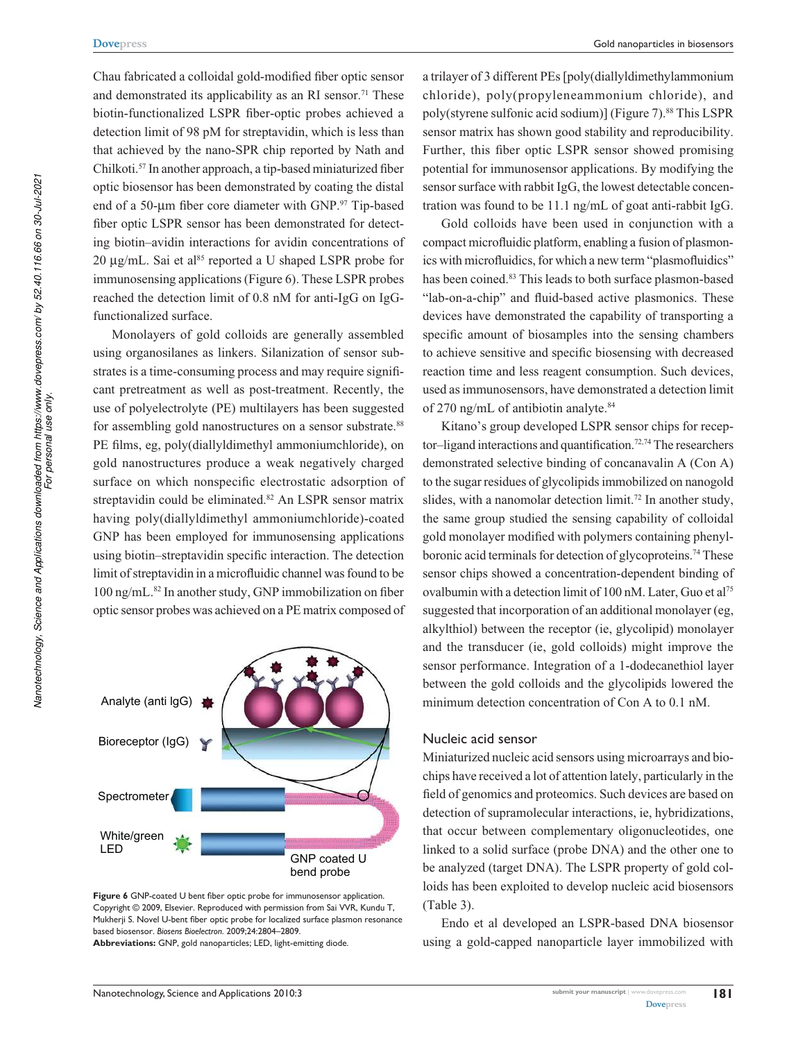Chau fabricated a colloidal gold-modified fiber optic sensor and demonstrated its applicability as an RI sensor.<sup>71</sup> These biotin-functionalized LSPR fiber-optic probes achieved a detection limit of 98 pM for streptavidin, which is less than that achieved by the nano-SPR chip reported by Nath and Chilkoti.<sup>57</sup> In another approach, a tip-based miniaturized fiber optic biosensor has been demonstrated by coating the distal end of a 50-μm fiber core diameter with GNP.<sup>97</sup> Tip-based fiber optic LSPR sensor has been demonstrated for detecting biotin–avidin interactions for avidin concentrations of 20 μg/mL. Sai et al<sup>85</sup> reported a U shaped LSPR probe for immunosensing applications (Figure 6). These LSPR probes reached the detection limit of 0.8 nM for anti-IgG on IgGfunctionalized surface.

Monolayers of gold colloids are generally assembled using organosilanes as linkers. Silanization of sensor substrates is a time-consuming process and may require significant pretreatment as well as post-treatment. Recently, the use of polyelectrolyte (PE) multilayers has been suggested for assembling gold nanostructures on a sensor substrate.<sup>88</sup> PE films, eg, poly(diallyldimethyl ammoniumchloride), on gold nanostructures produce a weak negatively charged surface on which nonspecific electrostatic adsorption of streptavidin could be eliminated.<sup>82</sup> An LSPR sensor matrix having poly(diallyldimethyl ammoniumchloride)-coated GNP has been employed for immunosensing applications using biotin–streptavidin specific interaction. The detection limit of streptavidin in a microfluidic channel was found to be 100 ng/mL.<sup>82</sup> In another study, GNP immobilization on fiber optic sensor probes was achieved on a PE matrix composed of



**Figure 6** GNP-coated U bent fiber optic probe for immunosensor application. Copyright © 2009, Elsevier. Reproduced with permission from Sai VVR, Kundu T, Mukherji S. Novel U-bent fiber optic probe for localized surface plasmon resonance based biosensor. *Biosens Bioelectron*. 2009;24:2804–2809. **Abbreviations:** GNP, gold nanoparticles; LeD, light-emitting diode.

a trilayer of 3 different PEs [poly(diallyldimethylammonium chloride), poly(propyleneammonium chloride), and poly(styrene sulfonic acid sodium)] (Figure 7).<sup>88</sup> This LSPR sensor matrix has shown good stability and reproducibility. Further, this fiber optic LSPR sensor showed promising potential for immunosensor applications. By modifying the sensor surface with rabbit IgG, the lowest detectable concentration was found to be 11.1 ng/mL of goat anti-rabbit IgG.

Gold colloids have been used in conjunction with a compact microfluidic platform, enabling a fusion of plasmonics with microfluidics, for which a new term "plasmofluidics" has been coined.<sup>83</sup> This leads to both surface plasmon-based "lab-on-a-chip" and fluid-based active plasmonics. These devices have demonstrated the capability of transporting a specific amount of biosamples into the sensing chambers to achieve sensitive and specific biosensing with decreased reaction time and less reagent consumption. Such devices, used as immunosensors, have demonstrated a detection limit of 270 ng/mL of antibiotin analyte.<sup>84</sup>

Kitano's group developed LSPR sensor chips for receptor-ligand interactions and quantification.<sup>72,74</sup> The researchers demonstrated selective binding of concanavalin A (Con A) to the sugar residues of glycolipids immobilized on nanogold slides, with a nanomolar detection limit.<sup>72</sup> In another study, the same group studied the sensing capability of colloidal gold monolayer modified with polymers containing phenylboronic acid terminals for detection of glycoproteins.<sup>74</sup> These sensor chips showed a concentration-dependent binding of ovalbumin with a detection limit of 100 nM. Later, Guo et al<sup>75</sup> suggested that incorporation of an additional monolayer (eg, alkylthiol) between the receptor (ie, glycolipid) monolayer and the transducer (ie, gold colloids) might improve the sensor performance. Integration of a 1-dodecanethiol layer between the gold colloids and the glycolipids lowered the minimum detection concentration of Con A to 0.1 nM.

#### Nucleic acid sensor

Miniaturized nucleic acid sensors using microarrays and biochips have received a lot of attention lately, particularly in the field of genomics and proteomics. Such devices are based on detection of supramolecular interactions, ie, hybridizations, that occur between complementary oligonucleotides, one linked to a solid surface (probe DNA) and the other one to be analyzed (target DNA). The LSPR property of gold colloids has been exploited to develop nucleic acid biosensors (Table 3).

Endo et al developed an LSPR-based DNA biosensor using a gold-capped nanoparticle layer immobilized with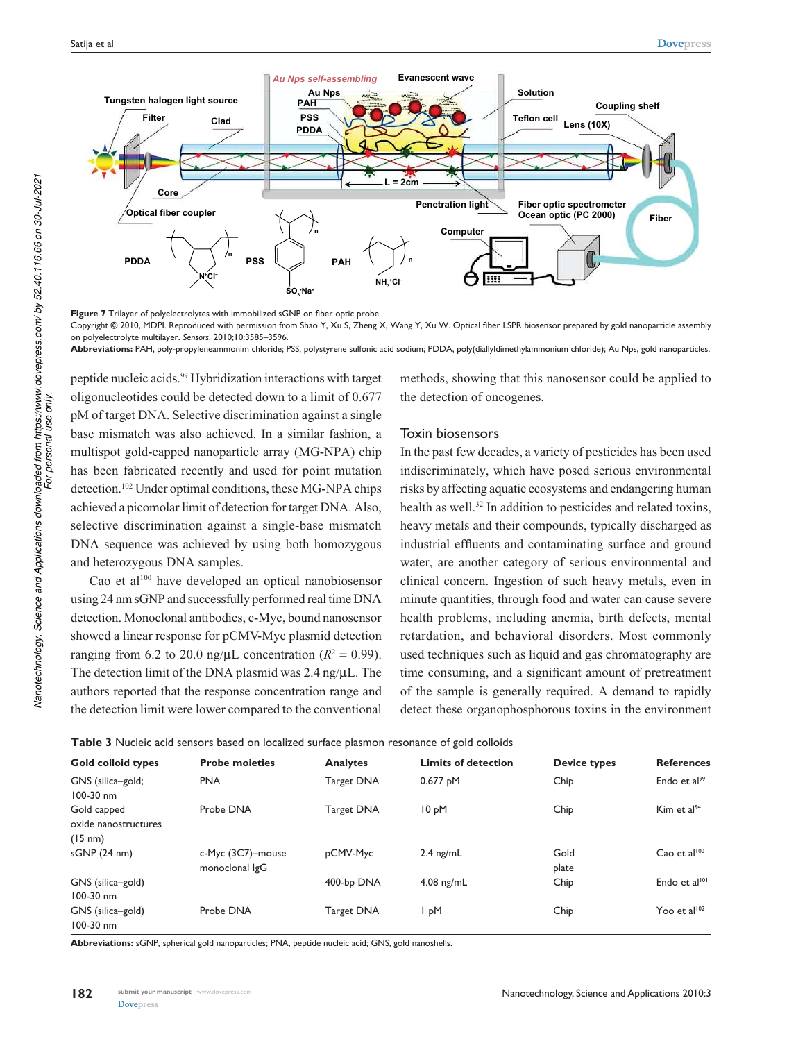

**Figure 7** Trilayer of polyelectrolytes with immobilized sGNP on fiber optic probe.

Copyright **©** 2010, MDPI. Reproduced with permission from Shao Y, Xu S, Zheng X, Wang Y, Xu W. Optical fiber LSPR biosensor prepared by gold nanoparticle assembly on polyelectrolyte multilayer. *Sensors*. 2010;10:3585–3596.

**Abbreviations:** PAH, poly-propyleneammonim chloride; PSS, polystyrene sulfonic acid sodium; PDDA, poly(diallyldimethylammonium chloride); Au Nps, gold nanoparticles.

peptide nucleic acids.<sup>99</sup> Hybridization interactions with target oligonucleotides could be detected down to a limit of 0.677 pM of target DNA. Selective discrimination against a single base mismatch was also achieved. In a similar fashion, a multispot gold-capped nanoparticle array (MG-NPA) chip has been fabricated recently and used for point mutation detection.<sup>102</sup> Under optimal conditions, these MG-NPA chips achieved a picomolar limit of detection for target DNA. Also, selective discrimination against a single-base mismatch DNA sequence was achieved by using both homozygous and heterozygous DNA samples.

Cao et al<sup>100</sup> have developed an optical nanobiosensor using 24 nm sGNP and successfully performed real time DNA detection. Monoclonal antibodies, c-Myc, bound nanosensor showed a linear response for pCMV-Myc plasmid detection ranging from 6.2 to 20.0 ng/ $\mu$ L concentration ( $R^2 = 0.99$ ). The detection limit of the DNA plasmid was 2.4 ng/μL. The authors reported that the response concentration range and the detection limit were lower compared to the conventional

methods, showing that this nanosensor could be applied to the detection of oncogenes.

#### Toxin biosensors

In the past few decades, a variety of pesticides has been used indiscriminately, which have posed serious environmental risks by affecting aquatic ecosystems and endangering human health as well.<sup>32</sup> In addition to pesticides and related toxins, heavy metals and their compounds, typically discharged as industrial effluents and contaminating surface and ground water, are another category of serious environmental and clinical concern. Ingestion of such heavy metals, even in minute quantities, through food and water can cause severe health problems, including anemia, birth defects, mental retardation, and behavioral disorders. Most commonly used techniques such as liquid and gas chromatography are time consuming, and a significant amount of pretreatment of the sample is generally required. A demand to rapidly detect these organophosphorous toxins in the environment

| Table 3 Nucleic acid sensors based on localized surface plasmon resonance of gold colloids |  |  |  |
|--------------------------------------------------------------------------------------------|--|--|--|
|--------------------------------------------------------------------------------------------|--|--|--|

| <b>Gold colloid types</b> | <b>Device types</b><br><b>References</b> | <b>Probe moieties</b> |
|---------------------------|------------------------------------------|-----------------------|
| GNS (silica-gold;         | Endo et $al^{99}$                        | <b>PNA</b>            |
| $100-30$ nm               |                                          |                       |
| Gold capped               | Kim et $al^{94}$                         | Probe DNA             |
| oxide nanostructures      |                                          |                       |
| (15 nm)                   |                                          |                       |
| sGNP (24 nm)              | Cao et al <sup>100</sup>                 | c-Myc (3C7)-mouse     |
|                           |                                          | monoclonal IgG        |
| GNS (silica-gold)         | Endo et al <sup>101</sup>                |                       |
| 100-30 nm                 |                                          |                       |
| GNS (silica-gold)         | Yoo et al <sup>102</sup>                 | Probe DNA             |
| 100-30 nm                 |                                          |                       |
|                           |                                          |                       |

**Abbreviations:** sGNP, spherical gold nanoparticles; PNA, peptide nucleic acid; GNS, gold nanoshells.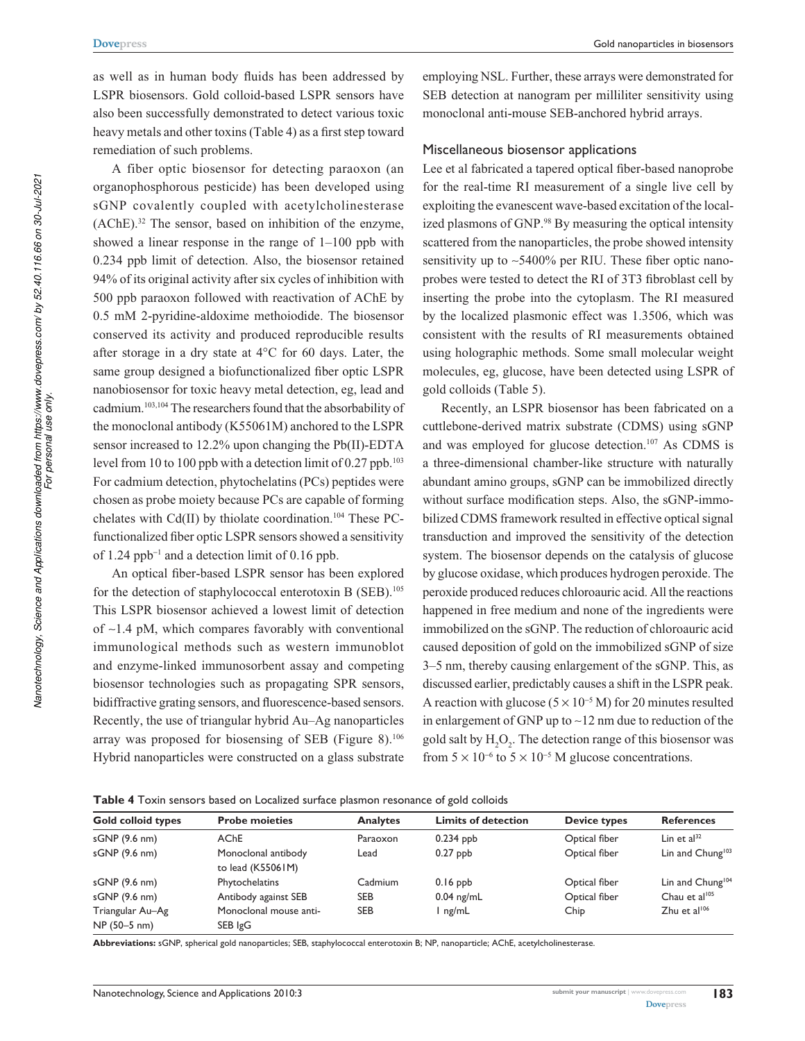as well as in human body fluids has been addressed by LSPR biosensors. Gold colloid-based LSPR sensors have also been successfully demonstrated to detect various toxic heavy metals and other toxins (Table 4) as a first step toward remediation of such problems.

A fiber optic biosensor for detecting paraoxon (an organophosphorous pesticide) has been developed using sGNP covalently coupled with acetylcholinesterase (AChE).<sup>32</sup> The sensor, based on inhibition of the enzyme, showed a linear response in the range of 1–100 ppb with 0.234 ppb limit of detection. Also, the biosensor retained 94% of its original activity after six cycles of inhibition with 500 ppb paraoxon followed with reactivation of AChE by 0.5 mM 2-pyridine-aldoxime methoiodide. The biosensor conserved its activity and produced reproducible results after storage in a dry state at 4°C for 60 days. Later, the same group designed a biofunctionalized fiber optic LSPR nanobiosensor for toxic heavy metal detection, eg, lead and cadmium.103,104 The researchers found that the absorbability of the monoclonal antibody (K55061M) anchored to the LSPR sensor increased to 12.2% upon changing the Pb(II)-EDTA level from 10 to 100 ppb with a detection limit of 0.27 ppb.<sup>103</sup> For cadmium detection, phytochelatins (PCs) peptides were chosen as probe moiety because PCs are capable of forming chelates with  $Cd(II)$  by thiolate coordination.<sup>104</sup> These PCfunctionalized fiber optic LSPR sensors showed a sensitivity of 1.24 ppb<sup>-1</sup> and a detection limit of 0.16 ppb.

An optical fiber-based LSPR sensor has been explored for the detection of staphylococcal enterotoxin B (SEB).<sup>105</sup> This LSPR biosensor achieved a lowest limit of detection of ∼1.4 pM, which compares favorably with conventional immunological methods such as western immunoblot and enzyme-linked immunosorbent assay and competing biosensor technologies such as propagating SPR sensors, bidiffractive grating sensors, and fluorescence-based sensors. Recently, the use of triangular hybrid Au–Ag nanoparticles array was proposed for biosensing of SEB (Figure 8).<sup>106</sup> Hybrid nanoparticles were constructed on a glass substrate employing NSL. Further, these arrays were demonstrated for SEB detection at nanogram per milliliter sensitivity using monoclonal anti-mouse SEB-anchored hybrid arrays.

### Miscellaneous biosensor applications

Lee et al fabricated a tapered optical fiber-based nanoprobe for the real-time RI measurement of a single live cell by exploiting the evanescent wave-based excitation of the localized plasmons of GNP.<sup>98</sup> By measuring the optical intensity scattered from the nanoparticles, the probe showed intensity sensitivity up to ~5400% per RIU. These fiber optic nanoprobes were tested to detect the RI of 3T3 fibroblast cell by inserting the probe into the cytoplasm. The RI measured by the localized plasmonic effect was 1.3506, which was consistent with the results of RI measurements obtained using holographic methods. Some small molecular weight molecules, eg, glucose, have been detected using LSPR of gold colloids (Table 5).

Recently, an LSPR biosensor has been fabricated on a cuttlebone-derived matrix substrate (CDMS) using sGNP and was employed for glucose detection.<sup>107</sup> As CDMS is a three-dimensional chamber-like structure with naturally abundant amino groups, sGNP can be immobilized directly without surface modification steps. Also, the sGNP-immobilized CDMS framework resulted in effective optical signal transduction and improved the sensitivity of the detection system. The biosensor depends on the catalysis of glucose by glucose oxidase, which produces hydrogen peroxide. The peroxide produced reduces chloroauric acid. All the reactions happened in free medium and none of the ingredients were immobilized on the sGNP. The reduction of chloroauric acid caused deposition of gold on the immobilized sGNP of size 3–5 nm, thereby causing enlargement of the sGNP. This, as discussed earlier, predictably causes a shift in the LSPR peak. A reaction with glucose  $(5 \times 10^{-5} \text{ M})$  for 20 minutes resulted in enlargement of GNP up to ∼12 nm due to reduction of the gold salt by  $H_2O_2$ . The detection range of this biosensor was from  $5 \times 10^{-6}$  to  $5 \times 10^{-5}$  M glucose concentrations.

**Table 4** Toxin sensors based on Localized surface plasmon resonance of gold colloids

| Gold colloid types               | <b>Probe mojeties</b>                    | <b>Analytes</b> | <b>Limits of detection</b> | <b>Device types</b> | <b>References</b>            |
|----------------------------------|------------------------------------------|-----------------|----------------------------|---------------------|------------------------------|
| sGNP (9.6 nm)                    | <b>AChE</b>                              | Paraoxon        | $0.234$ ppb                | Optical fiber       | Lin et $al^{32}$             |
| sGNP (9.6 nm)                    | Monoclonal antibody<br>to lead (K55061M) | Lead            | $0.27$ ppb                 | Optical fiber       | Lin and Chung <sup>103</sup> |
| sGNP (9.6 nm)                    | Phytochelatins                           | Cadmium         | $0.16$ ppb                 | Optical fiber       | Lin and Chung <sup>104</sup> |
| sGNP(9.6 nm)                     | Antibody against SEB                     | <b>SEB</b>      | $0.04$ ng/mL               | Optical fiber       | Chau et al <sup>105</sup>    |
| Triangular Au-Ag<br>NP (50–5 nm) | Monoclonal mouse anti-<br>SEB IgG        | <b>SEB</b>      | ng/mL                      | Chip                | $Z$ hu et al $106$           |

**Abbreviations:** sGNP, spherical gold nanoparticles; SeB, staphylococcal enterotoxin B; NP, nanoparticle; AChe, acetylcholinesterase.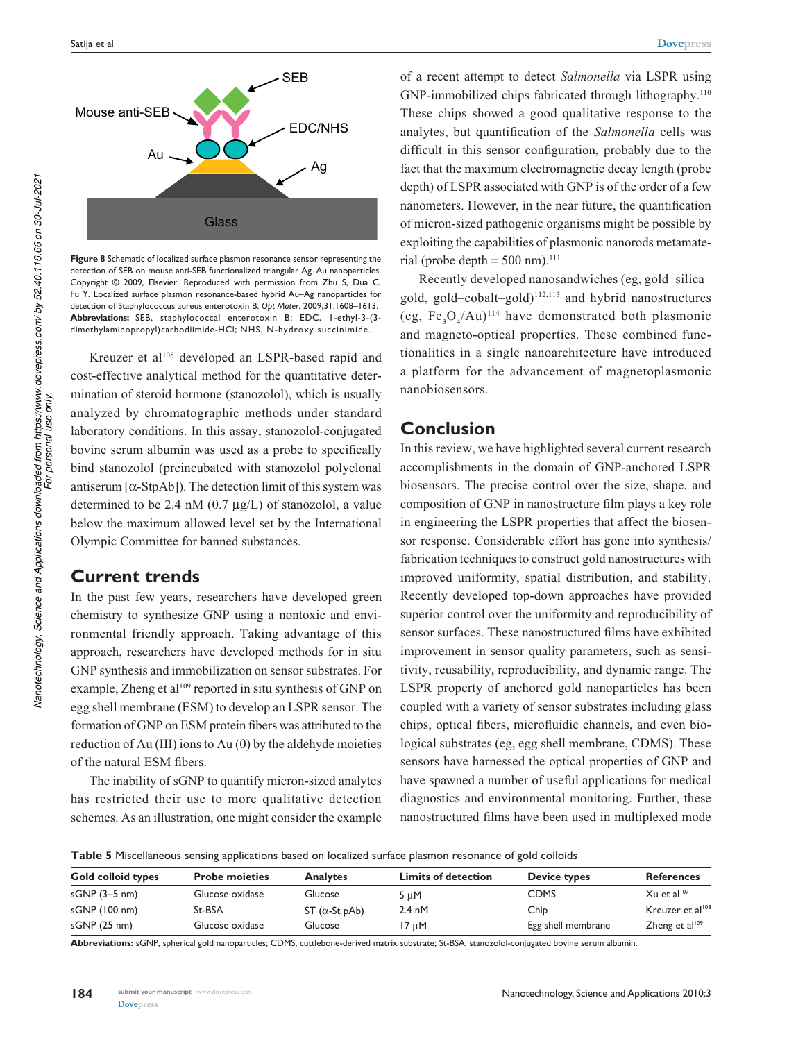

**Figure 8** Schematic of localized surface plasmon resonance sensor representing the detection of SeB on mouse anti-SeB functionalized triangular Ag–Au nanoparticles. Copyright © 2009, elsevier. Reproduced with permission from Zhu S, Dua C, Fu Y. Localized surface plasmon resonance-based hybrid Au–Ag nanoparticles for detection of Staphylococcus aureus enterotoxin B. *Opt Mater*. 2009;31:1608–1613. **Abbreviations:** SeB, staphylococcal enterotoxin B; eDC, 1-ethyl-3-(3 dimethylaminopropyl)carbodiimide-HCl; NHS, N-hydroxy succinimide.

Kreuzer et al<sup>108</sup> developed an LSPR-based rapid and cost-effective analytical method for the quantitative determination of steroid hormone (stanozolol), which is usually analyzed by chromatographic methods under standard laboratory conditions. In this assay, stanozolol-conjugated bovine serum albumin was used as a probe to specifically bind stanozolol (preincubated with stanozolol polyclonal antiserum  $[\alpha$ -StpAb]). The detection limit of this system was determined to be 2.4 nM  $(0.7 \mu g/L)$  of stanozolol, a value below the maximum allowed level set by the International Olympic Committee for banned substances.

## **Current trends**

In the past few years, researchers have developed green chemistry to synthesize GNP using a nontoxic and environmental friendly approach. Taking advantage of this approach, researchers have developed methods for in situ GNP synthesis and immobilization on sensor substrates. For example, Zheng et al<sup>109</sup> reported in situ synthesis of GNP on egg shell membrane (ESM) to develop an LSPR sensor. The formation of GNP on ESM protein fibers was attributed to the reduction of Au (III) ions to Au (0) by the aldehyde moieties of the natural ESM fibers.

The inability of sGNP to quantify micron-sized analytes has restricted their use to more qualitative detection schemes. As an illustration, one might consider the example of a recent attempt to detect *Salmonella* via LSPR using GNP-immobilized chips fabricated through lithography.<sup>110</sup> These chips showed a good qualitative response to the analytes, but quantification of the *Salmonella* cells was difficult in this sensor configuration, probably due to the fact that the maximum electromagnetic decay length (probe depth) of LSPR associated with GNP is of the order of a few nanometers. However, in the near future, the quantification of micron-sized pathogenic organisms might be possible by exploiting the capabilities of plasmonic nanorods metamaterial (probe depth =  $500 \text{ nm}$ ).<sup>111</sup>

Recently developed nanosandwiches (eg, gold–silica– gold, gold–cobalt–gold)<sup>112,113</sup> and hybrid nanostructures (eg,  $Fe<sub>3</sub>O<sub>4</sub>/Au$ )<sup>114</sup> have demonstrated both plasmonic and magneto-optical properties. These combined functionalities in a single nanoarchitecture have introduced a platform for the advancement of magnetoplasmonic nanobiosensors.

# **Conclusion**

In this review, we have highlighted several current research accomplishments in the domain of GNP-anchored LSPR biosensors. The precise control over the size, shape, and composition of GNP in nanostructure film plays a key role in engineering the LSPR properties that affect the biosensor response. Considerable effort has gone into synthesis/ fabrication techniques to construct gold nanostructures with improved uniformity, spatial distribution, and stability. Recently developed top-down approaches have provided superior control over the uniformity and reproducibility of sensor surfaces. These nanostructured films have exhibited improvement in sensor quality parameters, such as sensitivity, reusability, reproducibility, and dynamic range. The LSPR property of anchored gold nanoparticles has been coupled with a variety of sensor substrates including glass chips, optical fibers, microfluidic channels, and even biological substrates (eg, egg shell membrane, CDMS). These sensors have harnessed the optical properties of GNP and have spawned a number of useful applications for medical diagnostics and environmental monitoring. Further, these nanostructured films have been used in multiplexed mode

**Table 5** Miscellaneous sensing applications based on localized surface plasmon resonance of gold colloids

| Gold colloid types | <b>Probe mojeties</b> | <b>Analytes</b>      | <b>Limits of detection</b> | Device types       | <b>References</b>            |
|--------------------|-----------------------|----------------------|----------------------------|--------------------|------------------------------|
| $sGNP(3-5 nm)$     | Glucose oxidase       | Glucose              | 5 uM                       | <b>CDMS</b>        | $Xu$ et al <sup>107</sup>    |
| sGNP(100 nm)       | St-BSA                | $ST(\alpha$ -St pAb) | $2.4 \text{ nM}$           | Chip               | Kreuzer et al <sup>108</sup> |
| sGNP(25 nm)        | Glucose oxidase       | Glucose              | I7 uM                      | Egg shell membrane | Zheng et al <sup>109</sup>   |

**Abbreviations:** sGNP, spherical gold nanoparticles; CDMS, cuttlebone-derived matrix substrate; St-BSA, stanozolol-conjugated bovine serum albumin.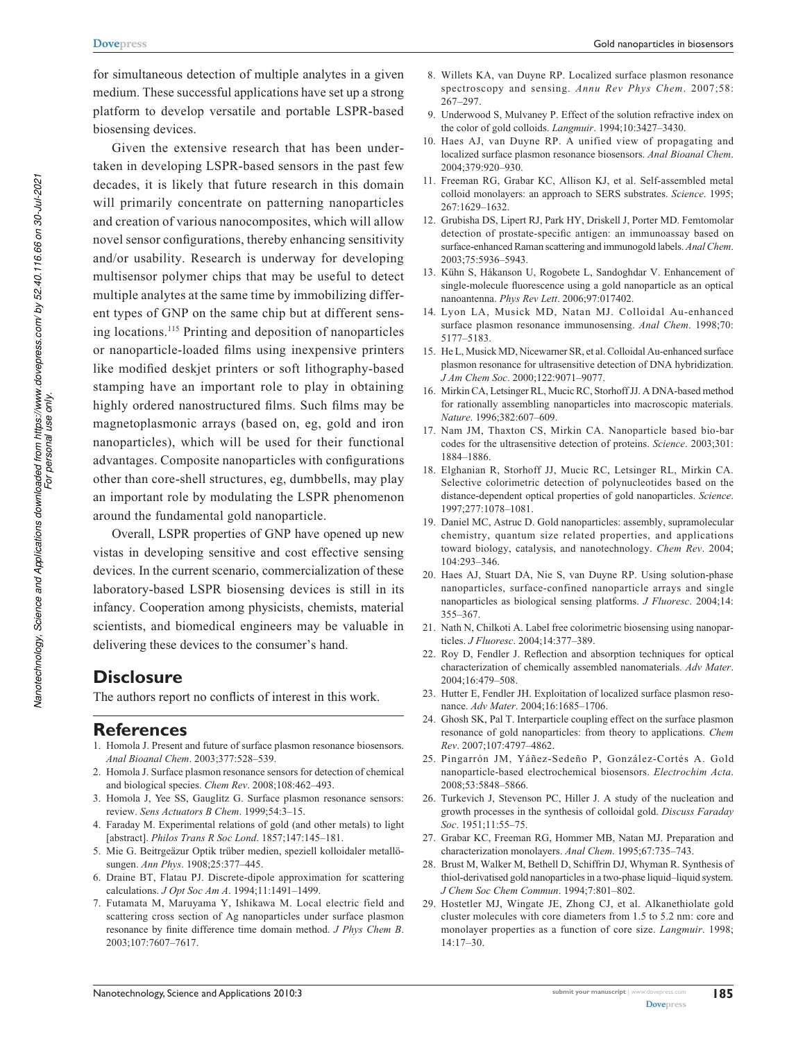for simultaneous detection of multiple analytes in a given medium. These successful applications have set up a strong platform to develop versatile and portable LSPR-based biosensing devices.

Given the extensive research that has been undertaken in developing LSPR-based sensors in the past few decades, it is likely that future research in this domain will primarily concentrate on patterning nanoparticles and creation of various nanocomposites, which will allow novel sensor configurations, thereby enhancing sensitivity and/or usability. Research is underway for developing multisensor polymer chips that may be useful to detect multiple analytes at the same time by immobilizing different types of GNP on the same chip but at different sensing locations.<sup>115</sup> Printing and deposition of nanoparticles or nanoparticle-loaded films using inexpensive printers like modified deskjet printers or soft lithography-based stamping have an important role to play in obtaining highly ordered nanostructured films. Such films may be magnetoplasmonic arrays (based on, eg, gold and iron nanoparticles), which will be used for their functional advantages. Composite nanoparticles with configurations other than core-shell structures, eg, dumbbells, may play an important role by modulating the LSPR phenomenon around the fundamental gold nanoparticle.

Overall, LSPR properties of GNP have opened up new vistas in developing sensitive and cost effective sensing devices. In the current scenario, commercialization of these laboratory-based LSPR biosensing devices is still in its infancy. Cooperation among physicists, chemists, material scientists, and biomedical engineers may be valuable in delivering these devices to the consumer's hand.

# **Disclosure**

The authors report no conflicts of interest in this work.

### **References**

- 1. Homola J. Present and future of surface plasmon resonance biosensors. *Anal Bioanal Chem*. 2003;377:528–539.
- 2. Homola J. Surface plasmon resonance sensors for detection of chemical and biological species. *Chem Rev*. 2008;108:462–493.
- 3. Homola J, Yee SS, Gauglitz G. Surface plasmon resonance sensors: review. *Sens Actuators B Chem*. 1999;54:3–15.
- 4. Faraday M. Experimental relations of gold (and other metals) to light [abstract]. *Philos Trans R Soc Lond*. 1857;147:145–181.
- 5. Mie G. Beitrgeäzur Optik trüber medien, speziell kolloidaler metallösungen. *Ann Phys*. 1908;25:377–445.
- 6. Draine BT, Flatau PJ. Discrete-dipole approximation for scattering calculations. *J Opt Soc Am A*. 1994;11:1491–1499.
- 7. Futamata M, Maruyama Y, Ishikawa M. Local electric field and scattering cross section of Ag nanoparticles under surface plasmon resonance by finite difference time domain method. *J Phys Chem B*. 2003;107:7607–7617.
- 8. Willets KA, van Duyne RP. Localized surface plasmon resonance spectroscopy and sensing. *Annu Rev Phys Chem*. 2007;58: 267–297.
- 9. Underwood S, Mulvaney P. Effect of the solution refractive index on the color of gold colloids. *Langmuir*. 1994;10:3427–3430.
- 10. Haes AJ, van Duyne RP. A unified view of propagating and localized surface plasmon resonance biosensors. *Anal Bioanal Chem*. 2004;379:920–930.
- 11. Freeman RG, Grabar KC, Allison KJ, et al. Self-assembled metal colloid monolayers: an approach to SERS substrates. *Science*. 1995; 267:1629–1632.
- 12. Grubisha DS, Lipert RJ, Park HY, Driskell J, Porter MD. Femtomolar detection of prostate-specific antigen: an immunoassay based on surface-enhanced Raman scattering and immunogold labels. *Anal Chem*. 2003;75:5936–5943.
- 13. Kühn S, Håkanson U, Rogobete L, Sandoghdar V. Enhancement of single-molecule fluorescence using a gold nanoparticle as an optical nanoantenna. *Phys Rev Lett*. 2006;97:017402.
- 14. Lyon LA, Musick MD, Natan MJ. Colloidal Au-enhanced surface plasmon resonance immunosensing. *Anal Chem*. 1998;70: 5177–5183.
- 15. He L, Musick MD, Nicewarner SR, et al. Colloidal Au-enhanced surface plasmon resonance for ultrasensitive detection of DNA hybridization. *J Am Chem Soc*. 2000;122:9071–9077.
- 16. Mirkin CA, Letsinger RL, Mucic RC, Storhoff JJ. A DNA-based method for rationally assembling nanoparticles into macroscopic materials. *Nature*. 1996;382:607–609.
- 17. Nam JM, Thaxton CS, Mirkin CA. Nanoparticle based bio-bar codes for the ultrasensitive detection of proteins. *Science*. 2003;301: 1884–1886.
- 18. Elghanian R, Storhoff JJ, Mucic RC, Letsinger RL, Mirkin CA. Selective colorimetric detection of polynucleotides based on the distance-dependent optical properties of gold nanoparticles. *Science*. 1997;277:1078–1081.
- 19. Daniel MC, Astruc D. Gold nanoparticles: assembly, supramolecular chemistry, quantum size related properties, and applications toward biology, catalysis, and nanotechnology. *Chem Rev*. 2004; 104:293–346.
- 20. Haes AJ, Stuart DA, Nie S, van Duyne RP. Using solution-phase nanoparticles, surface-confined nanoparticle arrays and single nanoparticles as biological sensing platforms. *J Fluoresc*. 2004;14: 355–367.
- 21. Nath N, Chilkoti A. Label free colorimetric biosensing using nanoparticles. *J Fluoresc*. 2004;14:377–389.
- 22. Roy D, Fendler J. Reflection and absorption techniques for optical characterization of chemically assembled nanomaterials. *Adv Mater*. 2004;16:479–508.
- 23. Hutter E, Fendler JH. Exploitation of localized surface plasmon resonance. *Adv Mater*. 2004;16:1685–1706.
- 24. Ghosh SK, Pal T. Interparticle coupling effect on the surface plasmon resonance of gold nanoparticles: from theory to applications. *Chem Rev*. 2007;107:4797–4862.
- 25. Pingarrón JM, Yáñez-Sedeño P, González-Cortés A. Gold nanoparticle-based electrochemical biosensors. *Electrochim Acta*. 2008;53:5848–5866.
- 26. Turkevich J, Stevenson PC, Hiller J. A study of the nucleation and growth processes in the synthesis of colloidal gold. *Discuss Faraday Soc*. 1951;11:55–75.
- 27. Grabar KC, Freeman RG, Hommer MB, Natan MJ. Preparation and characterization monolayers. *Anal Chem*. 1995;67:735–743.
- 28. Brust M, Walker M, Bethell D, Schiffrin DJ, Whyman R. Synthesis of thiol-derivatised gold nanoparticles in a two-phase liquid–liquid system. *J Chem Soc Chem Commun*. 1994;7:801–802.
- 29. Hostetler MJ, Wingate JE, Zhong CJ, et al. Alkanethiolate gold cluster molecules with core diameters from 1.5 to 5.2 nm: core and monolayer properties as a function of core size. *Langmuir*. 1998; 14:17–30.

Nanotechnology, Science and Applications downloaded from https://www.dovepress.com/ by 52.40.116.66 on 30-Jul-2021<br>Nanotechnology, Science and Applications downloaded from use only. *Nanotechnology, Science and Applications downloaded from https://www.dovepress.com/ by 52.40.116.66 on 30-Jul-2021 For personal use only.*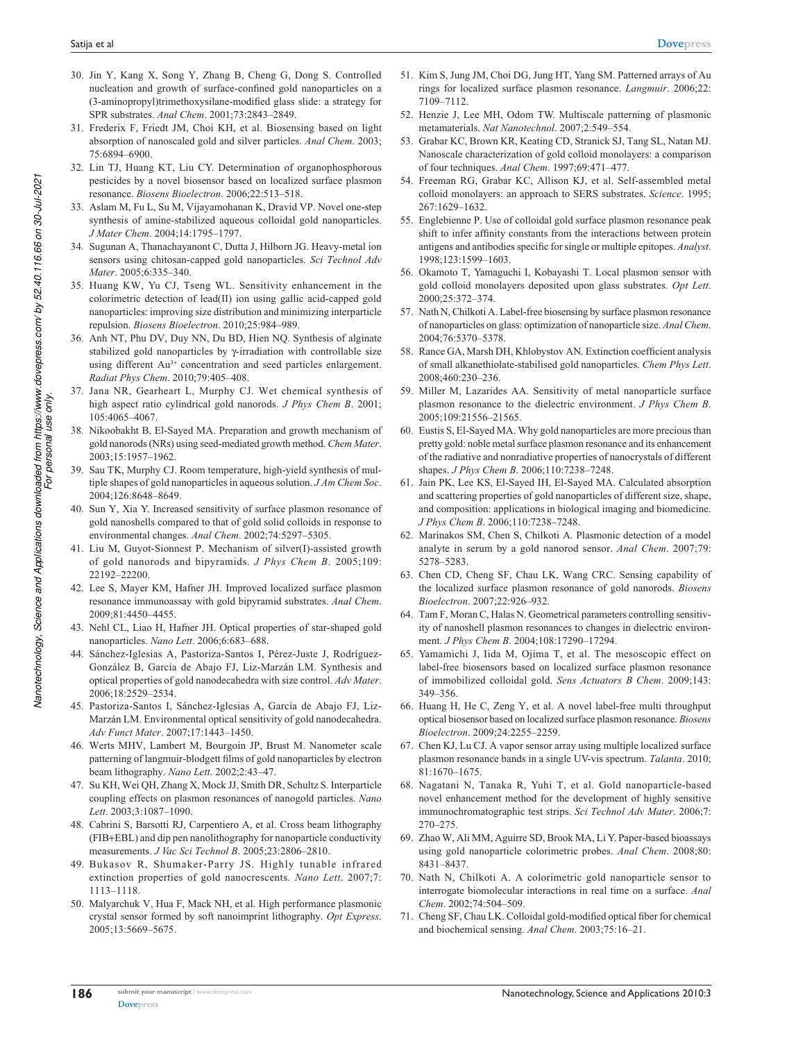- 30. Jin Y, Kang X, Song Y, Zhang B, Cheng G, Dong S. Controlled nucleation and growth of surface-confined gold nanoparticles on a (3-aminopropyl)trimethoxysilane-modified glass slide: a strategy for SPR substrates. *Anal Chem*. 2001;73:2843–2849.
- 31. Frederix F, Friedt JM, Choi KH, et al. Biosensing based on light absorption of nanoscaled gold and silver particles. *Anal Chem*. 2003; 75:6894–6900.
- 32. Lin TJ, Huang KT, Liu CY. Determination of organophosphorous pesticides by a novel biosensor based on localized surface plasmon resonance. *Biosens Bioelectron*. 2006;22:513–518.
- 33. Aslam M, Fu L, Su M, Vijayamohanan K, Dravid VP. Novel one-step synthesis of amine-stabilized aqueous colloidal gold nanoparticles. *J Mater Chem*. 2004;14:1795–1797.
- 34. Sugunan A, Thanachayanont C, Dutta J, Hilborn JG. Heavy-metal ion sensors using chitosan-capped gold nanoparticles. *Sci Technol Adv Mater*. 2005;6:335–340.
- 35. Huang KW, Yu CJ, Tseng WL. Sensitivity enhancement in the colorimetric detection of lead(II) ion using gallic acid-capped gold nanoparticles: improving size distribution and minimizing interparticle repulsion. *Biosens Bioelectron*. 2010;25:984–989.
- 36. Anh NT, Phu DV, Duy NN, Du BD, Hien NQ. Synthesis of alginate stabilized gold nanoparticles by γ-irradiation with controllable size using different Au<sup>3+</sup> concentration and seed particles enlargement. *Radiat Phys Chem*. 2010;79:405–408.
- 37. Jana NR, Gearheart L, Murphy CJ. Wet chemical synthesis of high aspect ratio cylindrical gold nanorods. *J Phys Chem B*. 2001; 105:4065–4067.
- 38. Nikoobakht B, El-Sayed MA. Preparation and growth mechanism of gold nanorods (NRs) using seed-mediated growth method. *Chem Mater*. 2003;15:1957–1962.
- 39. Sau TK, Murphy CJ. Room temperature, high-yield synthesis of multiple shapes of gold nanoparticles in aqueous solution. *J Am Chem Soc*. 2004;126:8648–8649.
- 40. Sun Y, Xia Y. Increased sensitivity of surface plasmon resonance of gold nanoshells compared to that of gold solid colloids in response to environmental changes. *Anal Chem*. 2002;74:5297–5305.
- 41. Liu M, Guyot-Sionnest P. Mechanism of silver(I)-assisted growth of gold nanorods and bipyramids. *J Phys Chem B*. 2005;109: 22192–22200.
- 42. Lee S, Mayer KM, Hafner JH. Improved localized surface plasmon resonance immunoassay with gold bipyramid substrates. *Anal Chem*. 2009;81:4450–4455.
- 43. Nehl CL, Liao H, Hafner JH. Optical properties of star-shaped gold nanoparticles. *Nano Lett*. 2006;6:683–688.
- 44. Sánchez-Iglesias A, Pastoriza-Santos I, Pérez-Juste J, Rodríguez-González B, García de Abajo FJ, Liz-Marzán LM. Synthesis and optical properties of gold nanodecahedra with size control. *Adv Mater*. 2006;18:2529–2534.
- 45. Pastoriza-Santos I, Sánchez-Iglesias A, García de Abajo FJ, Liz-Marzán LM. Environmental optical sensitivity of gold nanodecahedra. *Adv Funct Mater*. 2007;17:1443–1450.
- 46. Werts MHV, Lambert M, Bourgoin JP, Brust M. Nanometer scale patterning of langmuir-blodgett films of gold nanoparticles by electron beam lithography. *Nano Lett*. 2002;2:43–47.
- 47. Su KH, Wei QH, Zhang X, Mock JJ, Smith DR, Schultz S. Interparticle coupling effects on plasmon resonances of nanogold particles. *Nano Lett*. 2003;3:1087–1090.
- 48. Cabrini S, Barsotti RJ, Carpentiero A, et al. Cross beam lithography (FIB+EBL) and dip pen nanolithography for nanoparticle conductivity measurements. *J Vac Sci Technol B*. 2005;23:2806–2810.
- 49. Bukasov R, Shumaker-Parry JS. Highly tunable infrared extinction properties of gold nanocrescents. *Nano Lett*. 2007;7: 1113–1118.
- 50. Malyarchuk V, Hua F, Mack NH, et al. High performance plasmonic crystal sensor formed by soft nanoimprint lithography. *Opt Express*. 2005;13:5669–5675.
- 51. Kim S, Jung JM, Choi DG, Jung HT, Yang SM. Patterned arrays of Au rings for localized surface plasmon resonance. *Langmuir*. 2006;22: 7109–7112.
- 52. Henzie J, Lee MH, Odom TW. Multiscale patterning of plasmonic metamaterials. *Nat Nanotechnol*. 2007;2:549–554.
- 53. Grabar KC, Brown KR, Keating CD, Stranick SJ, Tang SL, Natan MJ. Nanoscale characterization of gold colloid monolayers: a comparison of four techniques. *Anal Chem*. 1997;69:471–477.
- 54. Freeman RG, Grabar KC, Allison KJ, et al. Self-assembled metal colloid monolayers: an approach to SERS substrates. *Science*. 1995; 267:1629–1632.
- 55. Englebienne P. Use of colloidal gold surface plasmon resonance peak shift to infer affinity constants from the interactions between protein antigens and antibodies specific for single or multiple epitopes. *Analyst*. 1998;123:1599–1603.
- 56. Okamoto T, Yamaguchi I, Kobayashi T. Local plasmon sensor with gold colloid monolayers deposited upon glass substrates. *Opt Lett*. 2000;25:372–374.
- 57. Nath N, Chilkoti A. Label-free biosensing by surface plasmon resonance of nanoparticles on glass: optimization of nanoparticle size. *Anal Chem*. 2004;76:5370–5378.
- 58. Rance GA, Marsh DH, Khlobystov AN. Extinction coefficient analysis of small alkanethiolate-stabilised gold nanoparticles. *Chem Phys Lett*. 2008;460:230–236.
- 59. Miller M, Lazarides AA. Sensitivity of metal nanoparticle surface plasmon resonance to the dielectric environment. *J Phys Chem B*. 2005;109:21556–21565.
- 60. Eustis S, El-Sayed MA. Why gold nanoparticles are more precious than pretty gold: noble metal surface plasmon resonance and its enhancement of the radiative and nonradiative properties of nanocrystals of different shapes. *J Phys Chem B*. 2006;110:7238–7248.
- 61. Jain PK, Lee KS, El-Sayed IH, El-Sayed MA. Calculated absorption and scattering properties of gold nanoparticles of different size, shape, and composition: applications in biological imaging and biomedicine. *J Phys Chem B*. 2006;110:7238–7248.
- 62. Marinakos SM, Chen S, Chilkoti A. Plasmonic detection of a model analyte in serum by a gold nanorod sensor. *Anal Chem*. 2007;79: 5278–5283.
- 63. Chen CD, Cheng SF, Chau LK, Wang CRC. Sensing capability of the localized surface plasmon resonance of gold nanorods. *Biosens Bioelectron*. 2007;22:926–932.
- 64. Tam F, Moran C, Halas N. Geometrical parameters controlling sensitivity of nanoshell plasmon resonances to changes in dielectric environment. *J Phys Chem B*. 2004;108:17290–17294.
- 65. Yamamichi J, Iida M, Ojima T, et al. The mesoscopic effect on label-free biosensors based on localized surface plasmon resonance of immobilized colloidal gold. *Sens Actuators B Chem*. 2009;143: 349–356.
- 66. Huang H, He C, Zeng Y, et al. A novel label-free multi throughput optical biosensor based on localized surface plasmon resonance. *Biosens Bioelectron*. 2009;24:2255–2259.
- 67. Chen KJ, Lu CJ. A vapor sensor array using multiple localized surface plasmon resonance bands in a single UV-vis spectrum. *Talanta*. 2010; 81:1670–1675.
- 68. Nagatani N, Tanaka R, Yuhi T, et al. Gold nanoparticle-based novel enhancement method for the development of highly sensitive immunochromatographic test strips. *Sci Technol Adv Mater*. 2006;7: 270–275.
- 69. Zhao W, Ali MM, Aguirre SD, Brook MA, Li Y. Paper-based bioassays using gold nanoparticle colorimetric probes. *Anal Chem*. 2008;80: 8431–8437.
- 70. Nath N, Chilkoti A. A colorimetric gold nanoparticle sensor to interrogate biomolecular interactions in real time on a surface. *Anal Chem*. 2002;74:504–509.
- 71. Cheng SF, Chau LK. Colloidal gold-modified optical fiber for chemical and biochemical sensing. *Anal Chem*. 2003;75:16–21.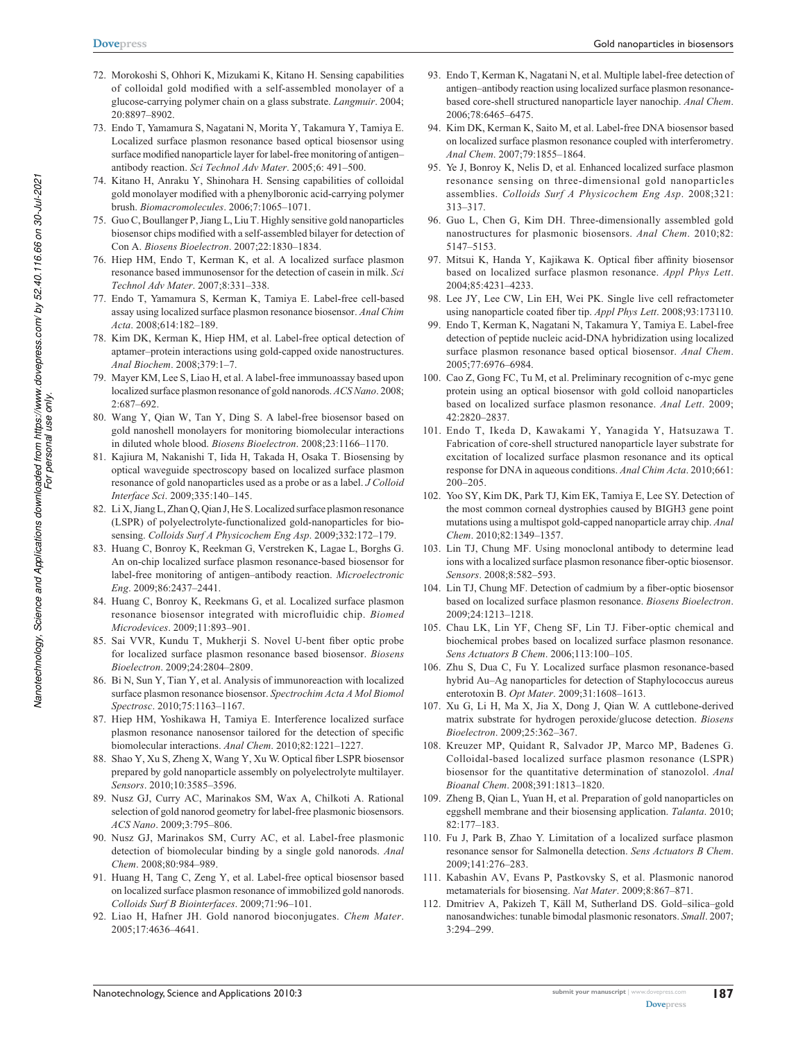- 72. Morokoshi S, Ohhori K, Mizukami K, Kitano H. Sensing capabilities of colloidal gold modified with a self-assembled monolayer of a glucose-carrying polymer chain on a glass substrate. *Langmuir*. 2004; 20:8897–8902.
- 73. Endo T, Yamamura S, Nagatani N, Morita Y, Takamura Y, Tamiya E. Localized surface plasmon resonance based optical biosensor using surface modified nanoparticle layer for label-free monitoring of antigen– antibody reaction. *Sci Technol Adv Mater*. 2005;6: 491–500.
- 74. Kitano H, Anraku Y, Shinohara H. Sensing capabilities of colloidal gold monolayer modified with a phenylboronic acid-carrying polymer brush. *Biomacromolecules*. 2006;7:1065–1071.
- 75. Guo C, Boullanger P, Jiang L, Liu T. Highly sensitive gold nanoparticles biosensor chips modified with a self-assembled bilayer for detection of Con A. *Biosens Bioelectron*. 2007;22:1830–1834.
- 76. Hiep HM, Endo T, Kerman K, et al. A localized surface plasmon resonance based immunosensor for the detection of casein in milk. *Sci Technol Adv Mater*. 2007;8:331–338.
- 77. Endo T, Yamamura S, Kerman K, Tamiya E. Label-free cell-based assay using localized surface plasmon resonance biosensor. *Anal Chim Acta*. 2008;614:182–189.
- 78. Kim DK, Kerman K, Hiep HM, et al. Label-free optical detection of aptamer–protein interactions using gold-capped oxide nanostructures. *Anal Biochem*. 2008;379:1–7.
- 79. Mayer KM, Lee S, Liao H, et al. A label-free immunoassay based upon localized surface plasmon resonance of gold nanorods. *ACS Nano*. 2008; 2:687–692.
- 80. Wang Y, Qian W, Tan Y, Ding S. A label-free biosensor based on gold nanoshell monolayers for monitoring biomolecular interactions in diluted whole blood. *Biosens Bioelectron*. 2008;23:1166–1170.
- 81. Kajiura M, Nakanishi T, Iida H, Takada H, Osaka T. Biosensing by optical waveguide spectroscopy based on localized surface plasmon resonance of gold nanoparticles used as a probe or as a label. *J Colloid Interface Sci*. 2009;335:140–145.
- 82. Li X, Jiang L, Zhan Q, Qian J, He S. Localized surface plasmon resonance (LSPR) of polyelectrolyte-functionalized gold-nanoparticles for biosensing. *Colloids Surf A Physicochem Eng Asp*. 2009;332:172–179.
- 83. Huang C, Bonroy K, Reekman G, Verstreken K, Lagae L, Borghs G. An on-chip localized surface plasmon resonance-based biosensor for label-free monitoring of antigen–antibody reaction. *Microelectronic Eng*. 2009;86:2437–2441.
- 84. Huang C, Bonroy K, Reekmans G, et al. Localized surface plasmon resonance biosensor integrated with microfluidic chip. *Biomed Microdevices*. 2009;11:893–901.
- 85. Sai VVR, Kundu T, Mukherji S. Novel U-bent fiber optic probe for localized surface plasmon resonance based biosensor. *Biosens Bioelectron*. 2009;24:2804–2809.
- 86. Bi N, Sun Y, Tian Y, et al. Analysis of immunoreaction with localized surface plasmon resonance biosensor. *Spectrochim Acta A Mol Biomol Spectrosc*. 2010;75:1163–1167.
- 87. Hiep HM, Yoshikawa H, Tamiya E. Interference localized surface plasmon resonance nanosensor tailored for the detection of specific biomolecular interactions. *Anal Chem*. 2010;82:1221–1227.
- 88. Shao Y, Xu S, Zheng X, Wang Y, Xu W. Optical fiber LSPR biosensor prepared by gold nanoparticle assembly on polyelectrolyte multilayer. *Sensors*. 2010;10:3585–3596.
- 89. Nusz GJ, Curry AC, Marinakos SM, Wax A, Chilkoti A. Rational selection of gold nanorod geometry for label-free plasmonic biosensors. *ACS Nano*. 2009;3:795–806.
- 90. Nusz GJ, Marinakos SM, Curry AC, et al. Label-free plasmonic detection of biomolecular binding by a single gold nanorods. *Anal Chem*. 2008;80:984–989.
- 91. Huang H, Tang C, Zeng Y, et al. Label-free optical biosensor based on localized surface plasmon resonance of immobilized gold nanorods. *Colloids Surf B Biointerfaces*. 2009;71:96–101.
- 92. Liao H, Hafner JH. Gold nanorod bioconjugates. *Chem Mater*. 2005;17:4636–4641.
- 93. Endo T, Kerman K, Nagatani N, et al. Multiple label-free detection of antigen–antibody reaction using localized surface plasmon resonancebased core-shell structured nanoparticle layer nanochip. *Anal Chem*. 2006;78:6465–6475.
- 94. Kim DK, Kerman K, Saito M, et al. Label-free DNA biosensor based on localized surface plasmon resonance coupled with interferometry. *Anal Chem*. 2007;79:1855–1864.
- 95. Ye J, Bonroy K, Nelis D, et al. Enhanced localized surface plasmon resonance sensing on three-dimensional gold nanoparticles assemblies. *Colloids Surf A Physicochem Eng Asp*. 2008;321: 313–317.
- 96. Guo L, Chen G, Kim DH. Three-dimensionally assembled gold nanostructures for plasmonic biosensors. *Anal Chem*. 2010;82: 5147–5153.
- 97. Mitsui K, Handa Y, Kajikawa K. Optical fiber affinity biosensor based on localized surface plasmon resonance. *Appl Phys Lett*. 2004;85:4231–4233.
- 98. Lee JY, Lee CW, Lin EH, Wei PK. Single live cell refractometer using nanoparticle coated fiber tip. *Appl Phys Lett*. 2008;93:173110.
- 99. Endo T, Kerman K, Nagatani N, Takamura Y, Tamiya E. Label-free detection of peptide nucleic acid-DNA hybridization using localized surface plasmon resonance based optical biosensor. *Anal Chem*. 2005;77:6976–6984.
- 100. Cao Z, Gong FC, Tu M, et al. Preliminary recognition of c-myc gene protein using an optical biosensor with gold colloid nanoparticles based on localized surface plasmon resonance. *Anal Lett*. 2009; 42:2820–2837.
- 101. Endo T, Ikeda D, Kawakami Y, Yanagida Y, Hatsuzawa T. Fabrication of core-shell structured nanoparticle layer substrate for excitation of localized surface plasmon resonance and its optical response for DNA in aqueous conditions. *Anal Chim Acta*. 2010;661: 200–205.
- 102. Yoo SY, Kim DK, Park TJ, Kim EK, Tamiya E, Lee SY. Detection of the most common corneal dystrophies caused by BIGH3 gene point mutations using a multispot gold-capped nanoparticle array chip. *Anal Chem*. 2010;82:1349–1357.
- 103. Lin TJ, Chung MF. Using monoclonal antibody to determine lead ions with a localized surface plasmon resonance fiber-optic biosensor. *Sensors*. 2008;8:582–593.
- 104. Lin TJ, Chung MF. Detection of cadmium by a fiber-optic biosensor based on localized surface plasmon resonance. *Biosens Bioelectron*. 2009;24:1213–1218.
- 105. Chau LK, Lin YF, Cheng SF, Lin TJ. Fiber-optic chemical and biochemical probes based on localized surface plasmon resonance. *Sens Actuators B Chem*. 2006;113:100–105.
- 106. Zhu S, Dua C, Fu Y. Localized surface plasmon resonance-based hybrid Au–Ag nanoparticles for detection of Staphylococcus aureus enterotoxin B. *Opt Mater*. 2009;31:1608–1613.
- 107. Xu G, Li H, Ma X, Jia X, Dong J, Qian W. A cuttlebone-derived matrix substrate for hydrogen peroxide/glucose detection. *Biosens Bioelectron*. 2009;25:362–367.
- 108. Kreuzer MP, Quidant R, Salvador JP, Marco MP, Badenes G. Colloidal-based localized surface plasmon resonance (LSPR) biosensor for the quantitative determination of stanozolol. *Anal Bioanal Chem*. 2008;391:1813–1820.
- 109. Zheng B, Qian L, Yuan H, et al. Preparation of gold nanoparticles on eggshell membrane and their biosensing application. *Talanta*. 2010; 82:177–183.
- 110. Fu J, Park B, Zhao Y. Limitation of a localized surface plasmon resonance sensor for Salmonella detection. *Sens Actuators B Chem*. 2009;141:276–283.
- 111. Kabashin AV, Evans P, Pastkovsky S, et al. Plasmonic nanorod metamaterials for biosensing. *Nat Mater*. 2009;8:867–871.
- 112. Dmitriev A, Pakizeh T, Käll M, Sutherland DS. Gold–silica–gold nanosandwiches: tunable bimodal plasmonic resonators. *Small*. 2007; 3:294–299.